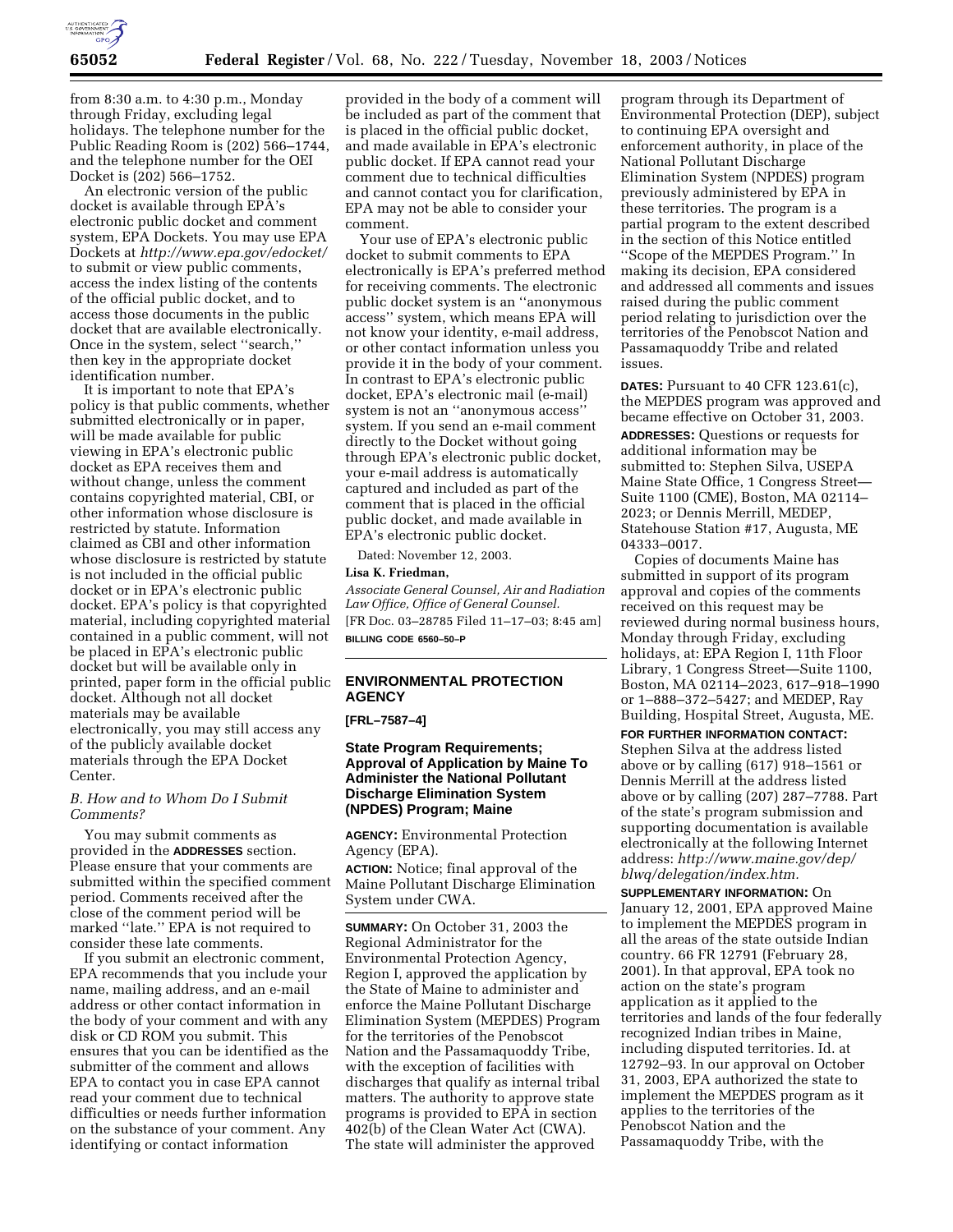

from 8:30 a.m. to 4:30 p.m., Monday through Friday, excluding legal holidays. The telephone number for the Public Reading Room is (202) 566–1744, and the telephone number for the OEI Docket is (202) 566–1752.

An electronic version of the public docket is available through EPA's electronic public docket and comment system, EPA Dockets. You may use EPA Dockets at *http://www.epa.gov/edocket/* to submit or view public comments, access the index listing of the contents of the official public docket, and to access those documents in the public docket that are available electronically. Once in the system, select ''search,'' then key in the appropriate docket identification number.

It is important to note that EPA's policy is that public comments, whether submitted electronically or in paper, will be made available for public viewing in EPA's electronic public docket as EPA receives them and without change, unless the comment contains copyrighted material, CBI, or other information whose disclosure is restricted by statute. Information claimed as CBI and other information whose disclosure is restricted by statute is not included in the official public docket or in EPA's electronic public docket. EPA's policy is that copyrighted material, including copyrighted material contained in a public comment, will not be placed in EPA's electronic public docket but will be available only in printed, paper form in the official public docket. Although not all docket materials may be available electronically, you may still access any of the publicly available docket materials through the EPA Docket Center.

#### *B. How and to Whom Do I Submit Comments?*

You may submit comments as provided in the **ADDRESSES** section. Please ensure that your comments are submitted within the specified comment period. Comments received after the close of the comment period will be marked ''late.'' EPA is not required to consider these late comments.

If you submit an electronic comment, EPA recommends that you include your name, mailing address, and an e-mail address or other contact information in the body of your comment and with any disk or CD ROM you submit. This ensures that you can be identified as the submitter of the comment and allows EPA to contact you in case EPA cannot read your comment due to technical difficulties or needs further information on the substance of your comment. Any identifying or contact information

provided in the body of a comment will be included as part of the comment that is placed in the official public docket, and made available in EPA's electronic public docket. If EPA cannot read your comment due to technical difficulties and cannot contact you for clarification, EPA may not be able to consider your comment.

Your use of EPA's electronic public docket to submit comments to EPA electronically is EPA's preferred method for receiving comments. The electronic public docket system is an ''anonymous access'' system, which means EPA will not know your identity, e-mail address, or other contact information unless you provide it in the body of your comment. In contrast to EPA's electronic public docket, EPA's electronic mail (e-mail) system is not an ''anonymous access'' system. If you send an e-mail comment directly to the Docket without going through EPA's electronic public docket, your e-mail address is automatically captured and included as part of the comment that is placed in the official public docket, and made available in EPA's electronic public docket.

Dated: November 12, 2003.

#### **Lisa K. Friedman,**

*Associate General Counsel, Air and Radiation Law Office, Office of General Counsel.* [FR Doc. 03–28785 Filed 11–17–03; 8:45 am] **BILLING CODE 6560–50–P**

# **ENVIRONMENTAL PROTECTION AGENCY**

**[FRL–7587–4]** 

## **State Program Requirements; Approval of Application by Maine To Administer the National Pollutant Discharge Elimination System (NPDES) Program; Maine**

**AGENCY:** Environmental Protection Agency (EPA).

**ACTION:** Notice; final approval of the Maine Pollutant Discharge Elimination System under CWA.

**SUMMARY:** On October 31, 2003 the Regional Administrator for the Environmental Protection Agency, Region I, approved the application by the State of Maine to administer and enforce the Maine Pollutant Discharge Elimination System (MEPDES) Program for the territories of the Penobscot Nation and the Passamaquoddy Tribe, with the exception of facilities with discharges that qualify as internal tribal matters. The authority to approve state programs is provided to EPA in section 402(b) of the Clean Water Act (CWA). The state will administer the approved

program through its Department of Environmental Protection (DEP), subject to continuing EPA oversight and enforcement authority, in place of the National Pollutant Discharge Elimination System (NPDES) program previously administered by EPA in these territories. The program is a partial program to the extent described in the section of this Notice entitled ''Scope of the MEPDES Program.'' In making its decision, EPA considered and addressed all comments and issues raised during the public comment period relating to jurisdiction over the territories of the Penobscot Nation and Passamaquoddy Tribe and related issues.

**DATES:** Pursuant to 40 CFR 123.61(c), the MEPDES program was approved and became effective on October 31, 2003.

**ADDRESSES:** Questions or requests for additional information may be submitted to: Stephen Silva, USEPA Maine State Office, 1 Congress Street— Suite 1100 (CME), Boston, MA 02114– 2023; or Dennis Merrill, MEDEP, Statehouse Station #17, Augusta, ME 04333–0017.

Copies of documents Maine has submitted in support of its program approval and copies of the comments received on this request may be reviewed during normal business hours, Monday through Friday, excluding holidays, at: EPA Region I, 11th Floor Library, 1 Congress Street—Suite 1100, Boston, MA 02114–2023, 617–918–1990 or 1–888–372–5427; and MEDEP, Ray Building, Hospital Street, Augusta, ME.

**FOR FURTHER INFORMATION CONTACT:** Stephen Silva at the address listed above or by calling (617) 918–1561 or Dennis Merrill at the address listed above or by calling (207) 287–7788. Part of the state's program submission and supporting documentation is available electronically at the following Internet address: *http://www.maine.gov/dep/ blwq/delegation/index.htm.*

**SUPPLEMENTARY INFORMATION:** On January 12, 2001, EPA approved Maine to implement the MEPDES program in all the areas of the state outside Indian country. 66 FR 12791 (February 28, 2001). In that approval, EPA took no action on the state's program application as it applied to the territories and lands of the four federally recognized Indian tribes in Maine, including disputed territories. Id. at 12792–93. In our approval on October 31, 2003, EPA authorized the state to implement the MEPDES program as it applies to the territories of the Penobscot Nation and the Passamaquoddy Tribe, with the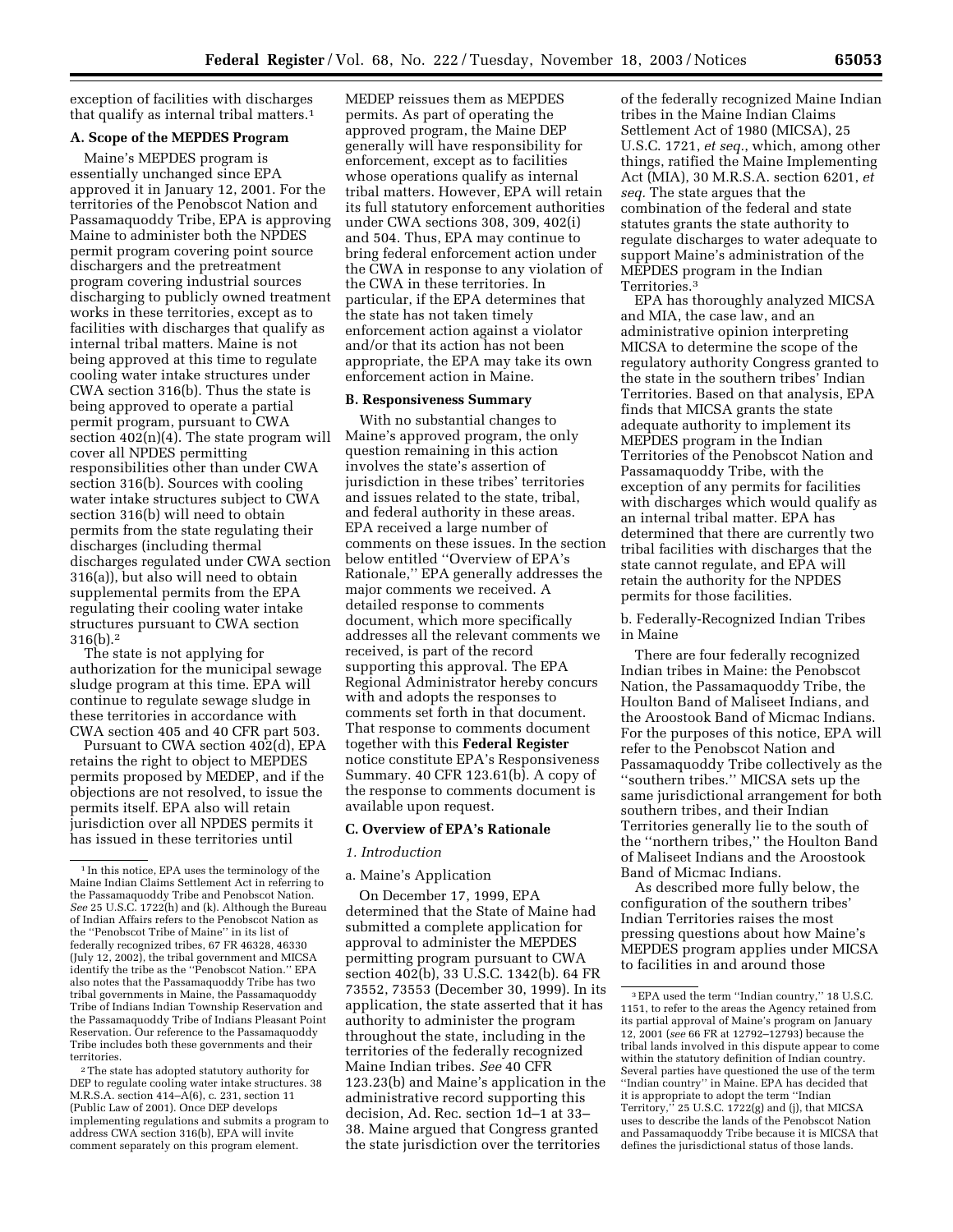exception of facilities with discharges that qualify as internal tribal matters.1

# **A. Scope of the MEPDES Program**

Maine's MEPDES program is essentially unchanged since EPA approved it in January 12, 2001. For the territories of the Penobscot Nation and Passamaquoddy Tribe, EPA is approving Maine to administer both the NPDES permit program covering point source dischargers and the pretreatment program covering industrial sources discharging to publicly owned treatment works in these territories, except as to facilities with discharges that qualify as internal tribal matters. Maine is not being approved at this time to regulate cooling water intake structures under CWA section 316(b). Thus the state is being approved to operate a partial permit program, pursuant to CWA section 402(n)(4). The state program will cover all NPDES permitting responsibilities other than under CWA section 316(b). Sources with cooling water intake structures subject to CWA section 316(b) will need to obtain permits from the state regulating their discharges (including thermal discharges regulated under CWA section 316(a)), but also will need to obtain supplemental permits from the EPA regulating their cooling water intake structures pursuant to CWA section 316(b).2

The state is not applying for authorization for the municipal sewage sludge program at this time. EPA will continue to regulate sewage sludge in these territories in accordance with CWA section 405 and 40 CFR part 503.

Pursuant to CWA section 402(d), EPA retains the right to object to MEPDES permits proposed by MEDEP, and if the objections are not resolved, to issue the permits itself. EPA also will retain jurisdiction over all NPDES permits it has issued in these territories until

2The state has adopted statutory authority for DEP to regulate cooling water intake structures. 38 M.R.S.A. section 414–A(6), c. 231, section 11 (Public Law of 2001). Once DEP develops implementing regulations and submits a program to address CWA section 316(b), EPA will invite comment separately on this program element.

MEDEP reissues them as MEPDES permits. As part of operating the approved program, the Maine DEP generally will have responsibility for enforcement, except as to facilities whose operations qualify as internal tribal matters. However, EPA will retain its full statutory enforcement authorities under CWA sections 308, 309, 402(i) and 504. Thus, EPA may continue to bring federal enforcement action under the CWA in response to any violation of the CWA in these territories. In particular, if the EPA determines that the state has not taken timely enforcement action against a violator and/or that its action has not been appropriate, the EPA may take its own enforcement action in Maine.

#### **B. Responsiveness Summary**

With no substantial changes to Maine's approved program, the only question remaining in this action involves the state's assertion of jurisdiction in these tribes' territories and issues related to the state, tribal, and federal authority in these areas. EPA received a large number of comments on these issues. In the section below entitled ''Overview of EPA's Rationale,'' EPA generally addresses the major comments we received. A detailed response to comments document, which more specifically addresses all the relevant comments we received, is part of the record supporting this approval. The EPA Regional Administrator hereby concurs with and adopts the responses to comments set forth in that document. That response to comments document together with this **Federal Register** notice constitute EPA's Responsiveness Summary. 40 CFR 123.61(b). A copy of the response to comments document is available upon request.

#### **C. Overview of EPA's Rationale**

## *1. Introduction*

#### a. Maine's Application

On December 17, 1999, EPA determined that the State of Maine had submitted a complete application for approval to administer the MEPDES permitting program pursuant to CWA section 402(b), 33 U.S.C. 1342(b). 64 FR 73552, 73553 (December 30, 1999). In its application, the state asserted that it has authority to administer the program throughout the state, including in the territories of the federally recognized Maine Indian tribes. *See* 40 CFR 123.23(b) and Maine's application in the administrative record supporting this decision, Ad. Rec. section 1d–1 at 33– 38. Maine argued that Congress granted the state jurisdiction over the territories

of the federally recognized Maine Indian tribes in the Maine Indian Claims Settlement Act of 1980 (MICSA), 25 U.S.C. 1721, *et seq.*, which, among other things, ratified the Maine Implementing Act (MIA), 30 M.R.S.A. section 6201, *et seq.* The state argues that the combination of the federal and state statutes grants the state authority to regulate discharges to water adequate to support Maine's administration of the MEPDES program in the Indian Territories.3

EPA has thoroughly analyzed MICSA and MIA, the case law, and an administrative opinion interpreting MICSA to determine the scope of the regulatory authority Congress granted to the state in the southern tribes' Indian Territories. Based on that analysis, EPA finds that MICSA grants the state adequate authority to implement its MEPDES program in the Indian Territories of the Penobscot Nation and Passamaquoddy Tribe, with the exception of any permits for facilities with discharges which would qualify as an internal tribal matter. EPA has determined that there are currently two tribal facilities with discharges that the state cannot regulate, and EPA will retain the authority for the NPDES permits for those facilities.

b. Federally-Recognized Indian Tribes in Maine

There are four federally recognized Indian tribes in Maine: the Penobscot Nation, the Passamaquoddy Tribe, the Houlton Band of Maliseet Indians, and the Aroostook Band of Micmac Indians. For the purposes of this notice, EPA will refer to the Penobscot Nation and Passamaquoddy Tribe collectively as the ''southern tribes.'' MICSA sets up the same jurisdictional arrangement for both southern tribes, and their Indian Territories generally lie to the south of the ''northern tribes,'' the Houlton Band of Maliseet Indians and the Aroostook Band of Micmac Indians.

As described more fully below, the configuration of the southern tribes' Indian Territories raises the most pressing questions about how Maine's MEPDES program applies under MICSA to facilities in and around those

<sup>1</sup> In this notice, EPA uses the terminology of the Maine Indian Claims Settlement Act in referring to the Passamaquoddy Tribe and Penobscot Nation. *See* 25 U.S.C. 1722(h) and (k). Although the Bureau of Indian Affairs refers to the Penobscot Nation as the ''Penobscot Tribe of Maine'' in its list of federally recognized tribes, 67 FR 46328, 46330 (July 12, 2002), the tribal government and MICSA identify the tribe as the ''Penobscot Nation.'' EPA also notes that the Passamaquoddy Tribe has two tribal governments in Maine, the Passamaquoddy Tribe of Indians Indian Township Reservation and the Passamaquoddy Tribe of Indians Pleasant Point Reservation. Our reference to the Passamaquoddy Tribe includes both these governments and their territories.

<sup>3</sup>EPA used the term ''Indian country,'' 18 U.S.C. 1151, to refer to the areas the Agency retained from its partial approval of Maine's program on January 12, 2001 (*see* 66 FR at 12792–12793) because the tribal lands involved in this dispute appear to come within the statutory definition of Indian country. Several parties have questioned the use of the term ''Indian country'' in Maine. EPA has decided that it is appropriate to adopt the term ''Indian Territory,'' 25 U.S.C. 1722(g) and (j), that MICSA uses to describe the lands of the Penobscot Nation and Passamaquoddy Tribe because it is MICSA that defines the jurisdictional status of those lands.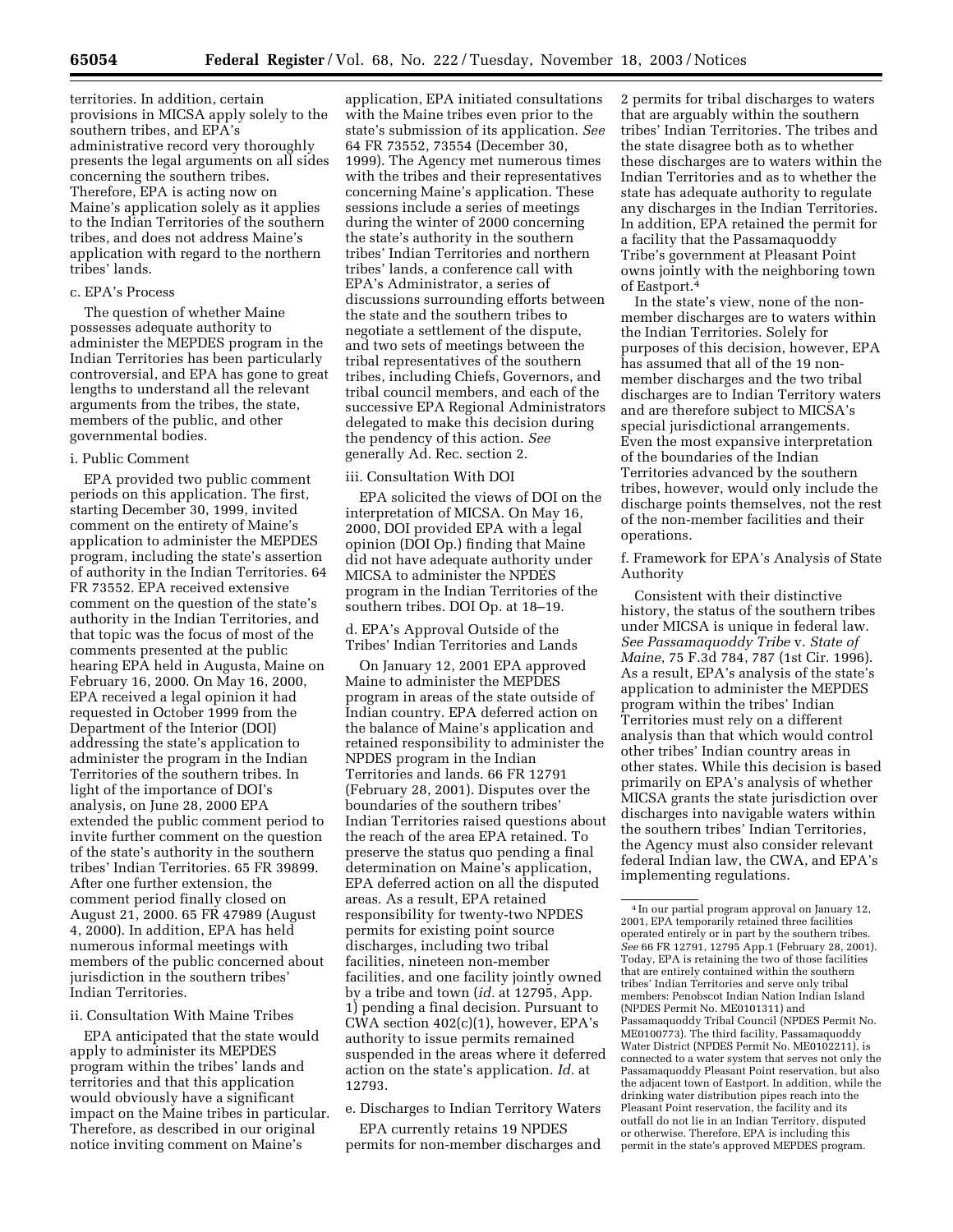territories. In addition, certain provisions in MICSA apply solely to the southern tribes, and EPA's administrative record very thoroughly presents the legal arguments on all sides concerning the southern tribes. Therefore, EPA is acting now on Maine's application solely as it applies to the Indian Territories of the southern tribes, and does not address Maine's application with regard to the northern tribes' lands.

#### c. EPA's Process

The question of whether Maine possesses adequate authority to administer the MEPDES program in the Indian Territories has been particularly controversial, and EPA has gone to great lengths to understand all the relevant arguments from the tribes, the state, members of the public, and other governmental bodies.

## i. Public Comment

EPA provided two public comment periods on this application. The first, starting December 30, 1999, invited comment on the entirety of Maine's application to administer the MEPDES program, including the state's assertion of authority in the Indian Territories. 64 FR 73552. EPA received extensive comment on the question of the state's authority in the Indian Territories, and that topic was the focus of most of the comments presented at the public hearing EPA held in Augusta, Maine on February 16, 2000. On May 16, 2000, EPA received a legal opinion it had requested in October 1999 from the Department of the Interior (DOI) addressing the state's application to administer the program in the Indian Territories of the southern tribes. In light of the importance of DOI's analysis, on June 28, 2000 EPA extended the public comment period to invite further comment on the question of the state's authority in the southern tribes' Indian Territories. 65 FR 39899. After one further extension, the comment period finally closed on August 21, 2000. 65 FR 47989 (August 4, 2000). In addition, EPA has held numerous informal meetings with members of the public concerned about jurisdiction in the southern tribes' Indian Territories.

#### ii. Consultation With Maine Tribes

EPA anticipated that the state would apply to administer its MEPDES program within the tribes' lands and territories and that this application would obviously have a significant impact on the Maine tribes in particular. Therefore, as described in our original notice inviting comment on Maine's

application, EPA initiated consultations with the Maine tribes even prior to the state's submission of its application. *See* 64 FR 73552, 73554 (December 30, 1999). The Agency met numerous times with the tribes and their representatives concerning Maine's application. These sessions include a series of meetings during the winter of 2000 concerning the state's authority in the southern tribes' Indian Territories and northern tribes' lands, a conference call with EPA's Administrator, a series of discussions surrounding efforts between the state and the southern tribes to negotiate a settlement of the dispute, and two sets of meetings between the tribal representatives of the southern tribes, including Chiefs, Governors, and tribal council members, and each of the successive EPA Regional Administrators delegated to make this decision during the pendency of this action. *See* generally Ad. Rec. section 2.

### iii. Consultation With DOI

EPA solicited the views of DOI on the interpretation of MICSA. On May 16, 2000, DOI provided EPA with a legal opinion (DOI Op.) finding that Maine did not have adequate authority under MICSA to administer the NPDES program in the Indian Territories of the southern tribes. DOI Op. at 18–19.

d. EPA's Approval Outside of the Tribes' Indian Territories and Lands

On January 12, 2001 EPA approved Maine to administer the MEPDES program in areas of the state outside of Indian country. EPA deferred action on the balance of Maine's application and retained responsibility to administer the NPDES program in the Indian Territories and lands. 66 FR 12791 (February 28, 2001). Disputes over the boundaries of the southern tribes' Indian Territories raised questions about the reach of the area EPA retained. To preserve the status quo pending a final determination on Maine's application, EPA deferred action on all the disputed areas. As a result, EPA retained responsibility for twenty-two NPDES permits for existing point source discharges, including two tribal facilities, nineteen non-member facilities, and one facility jointly owned by a tribe and town (*id.* at 12795, App. 1) pending a final decision. Pursuant to CWA section 402(c)(1), however, EPA's authority to issue permits remained suspended in the areas where it deferred action on the state's application. *Id.* at 12793.

e. Discharges to Indian Territory Waters

EPA currently retains 19 NPDES permits for non-member discharges and 2 permits for tribal discharges to waters that are arguably within the southern tribes' Indian Territories. The tribes and the state disagree both as to whether these discharges are to waters within the Indian Territories and as to whether the state has adequate authority to regulate any discharges in the Indian Territories. In addition, EPA retained the permit for a facility that the Passamaquoddy Tribe's government at Pleasant Point owns jointly with the neighboring town of Eastport.4

In the state's view, none of the nonmember discharges are to waters within the Indian Territories. Solely for purposes of this decision, however, EPA has assumed that all of the 19 nonmember discharges and the two tribal discharges are to Indian Territory waters and are therefore subject to MICSA's special jurisdictional arrangements. Even the most expansive interpretation of the boundaries of the Indian Territories advanced by the southern tribes, however, would only include the discharge points themselves, not the rest of the non-member facilities and their operations.

f. Framework for EPA's Analysis of State Authority

Consistent with their distinctive history, the status of the southern tribes under MICSA is unique in federal law. *See Passamaquoddy Tribe* v. *State of Maine*, 75 F.3d 784, 787 (1st Cir. 1996). As a result, EPA's analysis of the state's application to administer the MEPDES program within the tribes' Indian Territories must rely on a different analysis than that which would control other tribes' Indian country areas in other states. While this decision is based primarily on EPA's analysis of whether MICSA grants the state jurisdiction over discharges into navigable waters within the southern tribes' Indian Territories, the Agency must also consider relevant federal Indian law, the CWA, and EPA's implementing regulations.

<sup>4</sup> In our partial program approval on January 12, 2001, EPA temporarily retained three facilities operated entirely or in part by the southern tribes. *See* 66 FR 12791, 12795 App.1 (February 28, 2001). Today, EPA is retaining the two of those facilities that are entirely contained within the southern tribes' Indian Territories and serve only tribal members: Penobscot Indian Nation Indian Island (NPDES Permit No. ME0101311) and Passamaquoddy Tribal Council (NPDES Permit No. ME0100773). The third facility, Passamaquoddy Water District (NPDES Permit No. ME0102211), is connected to a water system that serves not only the Passamaquoddy Pleasant Point reservation, but also the adjacent town of Eastport. In addition, while the drinking water distribution pipes reach into the Pleasant Point reservation, the facility and its outfall do not lie in an Indian Territory, disputed or otherwise. Therefore, EPA is including this permit in the state's approved MEPDES program.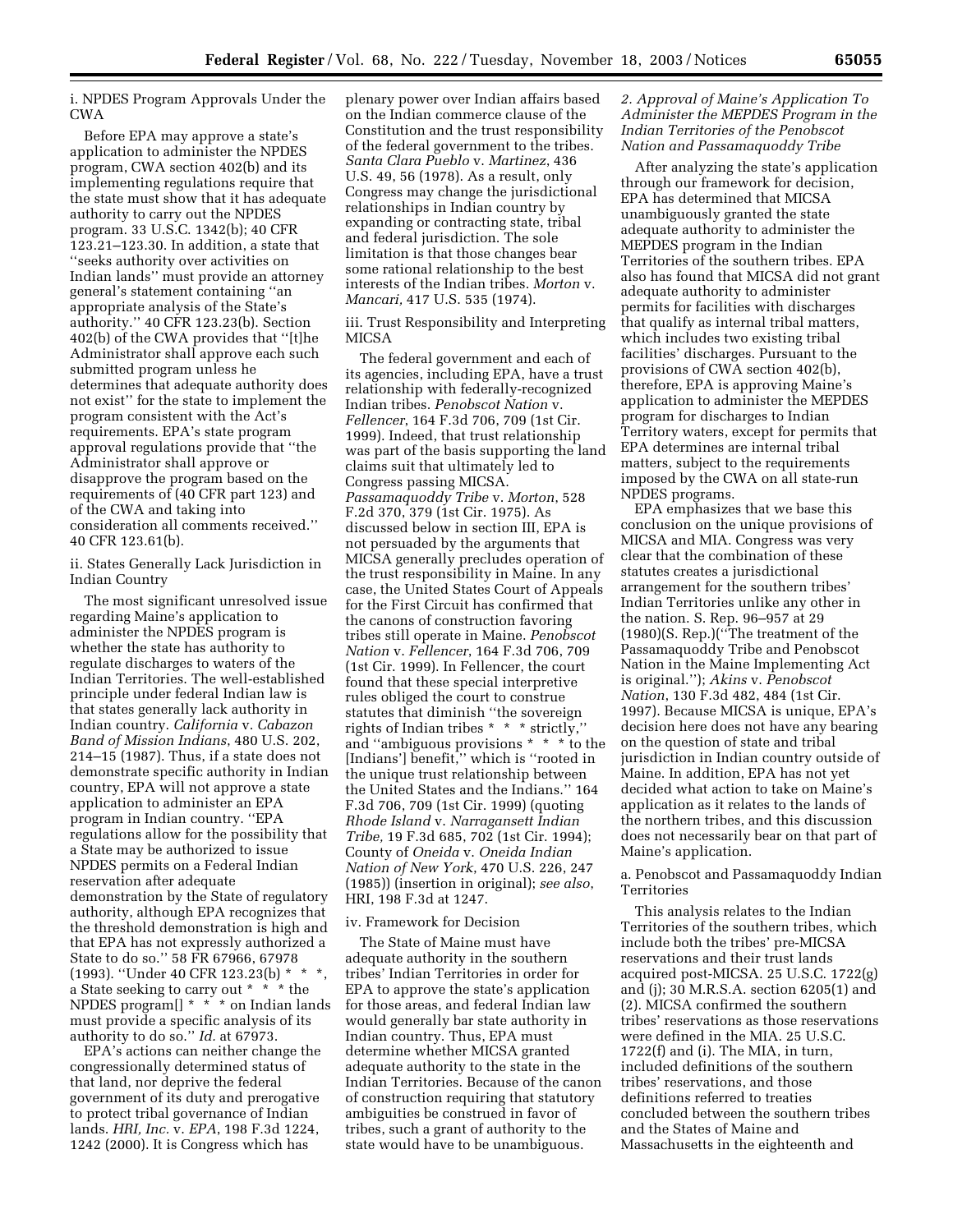i. NPDES Program Approvals Under the CWA

Before EPA may approve a state's application to administer the NPDES program, CWA section 402(b) and its implementing regulations require that the state must show that it has adequate authority to carry out the NPDES program. 33 U.S.C. 1342(b); 40 CFR 123.21–123.30. In addition, a state that ''seeks authority over activities on Indian lands'' must provide an attorney general's statement containing ''an appropriate analysis of the State's authority.'' 40 CFR 123.23(b). Section 402(b) of the CWA provides that ''[t]he Administrator shall approve each such submitted program unless he determines that adequate authority does not exist'' for the state to implement the program consistent with the Act's requirements. EPA's state program approval regulations provide that ''the Administrator shall approve or disapprove the program based on the requirements of (40 CFR part 123) and of the CWA and taking into consideration all comments received.'' 40 CFR 123.61(b).

ii. States Generally Lack Jurisdiction in Indian Country

The most significant unresolved issue regarding Maine's application to administer the NPDES program is whether the state has authority to regulate discharges to waters of the Indian Territories. The well-established principle under federal Indian law is that states generally lack authority in Indian country. *California* v. *Cabazon Band of Mission Indians*, 480 U.S. 202, 214–15 (1987). Thus, if a state does not demonstrate specific authority in Indian country, EPA will not approve a state application to administer an EPA program in Indian country. ''EPA regulations allow for the possibility that a State may be authorized to issue NPDES permits on a Federal Indian reservation after adequate demonstration by the State of regulatory authority, although EPA recognizes that the threshold demonstration is high and that EPA has not expressly authorized a State to do so.'' 58 FR 67966, 67978 (1993). ''Under 40 CFR 123.23(b) \* \* \*, a State seeking to carry out \* \* \* the NPDES program<sup>[] \*</sup> \* \* on Indian lands must provide a specific analysis of its authority to do so.'' *Id.* at 67973.

EPA's actions can neither change the congressionally determined status of that land, nor deprive the federal government of its duty and prerogative to protect tribal governance of Indian lands. *HRI, Inc.* v. *EPA*, 198 F.3d 1224, 1242 (2000). It is Congress which has

plenary power over Indian affairs based on the Indian commerce clause of the Constitution and the trust responsibility of the federal government to the tribes. *Santa Clara Pueblo* v. *Martinez*, 436 U.S. 49, 56 (1978). As a result, only Congress may change the jurisdictional relationships in Indian country by expanding or contracting state, tribal and federal jurisdiction. The sole limitation is that those changes bear some rational relationship to the best interests of the Indian tribes. *Morton* v. *Mancari,* 417 U.S. 535 (1974).

iii. Trust Responsibility and Interpreting MICSA

The federal government and each of its agencies, including EPA, have a trust relationship with federally-recognized Indian tribes. *Penobscot Nation* v. *Fellencer*, 164 F.3d 706, 709 (1st Cir. 1999). Indeed, that trust relationship was part of the basis supporting the land claims suit that ultimately led to Congress passing MICSA. *Passamaquoddy Tribe* v. *Morton*, 528 F.2d 370, 379 (1st Cir. 1975). As discussed below in section III, EPA is not persuaded by the arguments that MICSA generally precludes operation of the trust responsibility in Maine. In any case, the United States Court of Appeals for the First Circuit has confirmed that the canons of construction favoring tribes still operate in Maine. *Penobscot Nation* v. *Fellencer*, 164 F.3d 706, 709 (1st Cir. 1999). In Fellencer, the court found that these special interpretive rules obliged the court to construe statutes that diminish ''the sovereign rights of Indian tribes \* \* \* strictly,'' and ''ambiguous provisions \* \* \* to the [Indians'] benefit," which is "rooted in the unique trust relationship between the United States and the Indians.'' 164 F.3d 706, 709 (1st Cir. 1999) (quoting *Rhode Island* v. *Narragansett Indian Tribe,* 19 F.3d 685, 702 (1st Cir. 1994); County of *Oneida* v. *Oneida Indian Nation of New York*, 470 U.S. 226, 247 (1985)) (insertion in original); *see also*, HRI, 198 F.3d at 1247.

#### iv. Framework for Decision

The State of Maine must have adequate authority in the southern tribes' Indian Territories in order for EPA to approve the state's application for those areas, and federal Indian law would generally bar state authority in Indian country. Thus, EPA must determine whether MICSA granted adequate authority to the state in the Indian Territories. Because of the canon of construction requiring that statutory ambiguities be construed in favor of tribes, such a grant of authority to the state would have to be unambiguous.

# *2. Approval of Maine's Application To Administer the MEPDES Program in the Indian Territories of the Penobscot Nation and Passamaquoddy Tribe*

After analyzing the state's application through our framework for decision, EPA has determined that MICSA unambiguously granted the state adequate authority to administer the MEPDES program in the Indian Territories of the southern tribes. EPA also has found that MICSA did not grant adequate authority to administer permits for facilities with discharges that qualify as internal tribal matters, which includes two existing tribal facilities' discharges. Pursuant to the provisions of CWA section 402(b), therefore, EPA is approving Maine's application to administer the MEPDES program for discharges to Indian Territory waters, except for permits that EPA determines are internal tribal matters, subject to the requirements imposed by the CWA on all state-run NPDES programs.

EPA emphasizes that we base this conclusion on the unique provisions of MICSA and MIA. Congress was very clear that the combination of these statutes creates a jurisdictional arrangement for the southern tribes' Indian Territories unlike any other in the nation. S. Rep. 96–957 at 29 (1980)(S. Rep.)(''The treatment of the Passamaquoddy Tribe and Penobscot Nation in the Maine Implementing Act is original.''); *Akins* v. *Penobscot Nation*, 130 F.3d 482, 484 (1st Cir. 1997). Because MICSA is unique, EPA's decision here does not have any bearing on the question of state and tribal jurisdiction in Indian country outside of Maine. In addition, EPA has not yet decided what action to take on Maine's application as it relates to the lands of the northern tribes, and this discussion does not necessarily bear on that part of Maine's application.

## a. Penobscot and Passamaquoddy Indian Territories

This analysis relates to the Indian Territories of the southern tribes, which include both the tribes' pre-MICSA reservations and their trust lands acquired post-MICSA. 25 U.S.C. 1722(g) and (j); 30 M.R.S.A. section 6205(1) and (2). MICSA confirmed the southern tribes' reservations as those reservations were defined in the MIA. 25 U.S.C. 1722(f) and (i). The MIA, in turn, included definitions of the southern tribes' reservations, and those definitions referred to treaties concluded between the southern tribes and the States of Maine and Massachusetts in the eighteenth and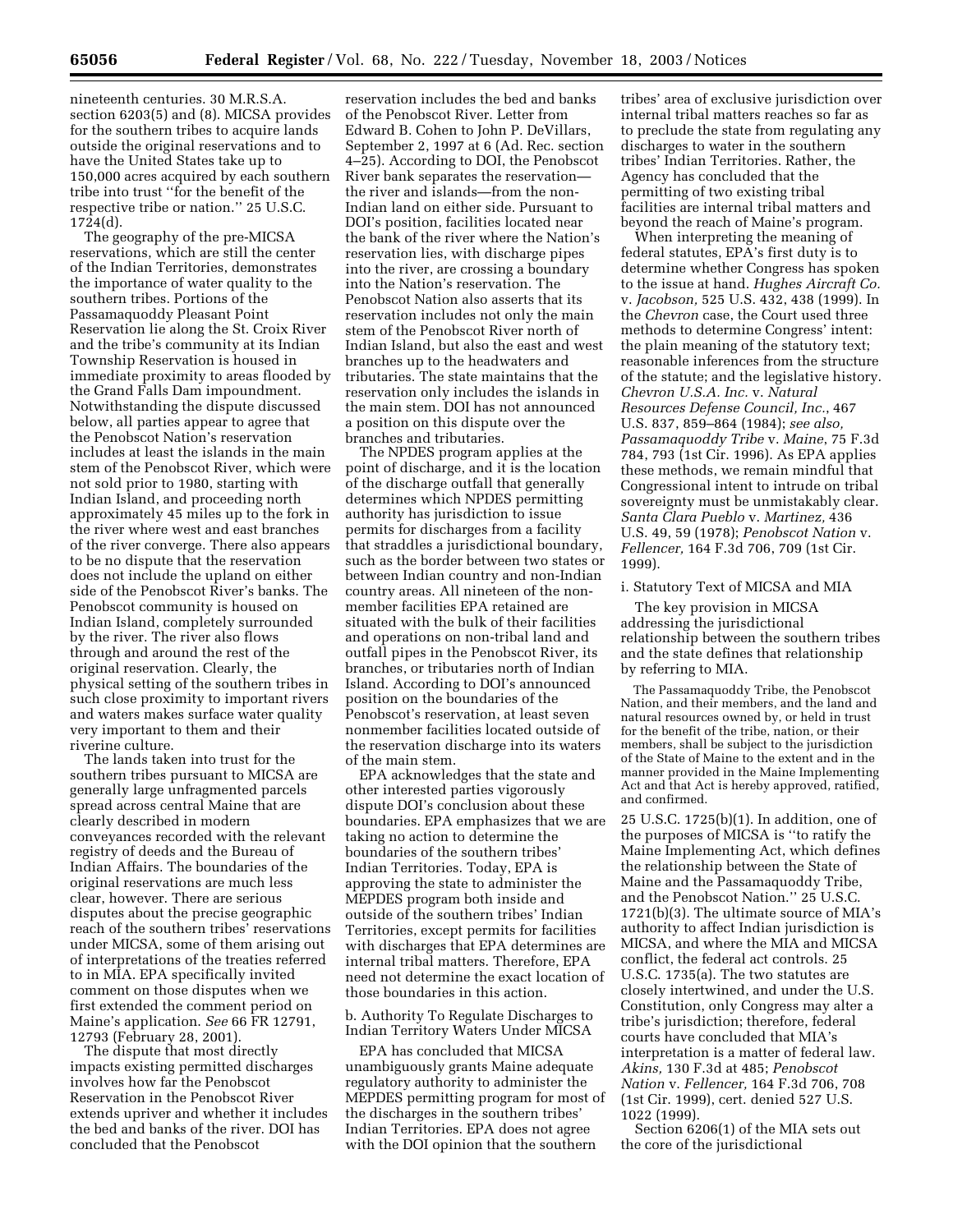nineteenth centuries. 30 M.R.S.A. section 6203(5) and (8). MICSA provides for the southern tribes to acquire lands outside the original reservations and to have the United States take up to 150,000 acres acquired by each southern tribe into trust ''for the benefit of the respective tribe or nation.'' 25 U.S.C. 1724(d).

The geography of the pre-MICSA reservations, which are still the center of the Indian Territories, demonstrates the importance of water quality to the southern tribes. Portions of the Passamaquoddy Pleasant Point Reservation lie along the St. Croix River and the tribe's community at its Indian Township Reservation is housed in immediate proximity to areas flooded by the Grand Falls Dam impoundment. Notwithstanding the dispute discussed below, all parties appear to agree that the Penobscot Nation's reservation includes at least the islands in the main stem of the Penobscot River, which were not sold prior to 1980, starting with Indian Island, and proceeding north approximately 45 miles up to the fork in the river where west and east branches of the river converge. There also appears to be no dispute that the reservation does not include the upland on either side of the Penobscot River's banks. The Penobscot community is housed on Indian Island, completely surrounded by the river. The river also flows through and around the rest of the original reservation. Clearly, the physical setting of the southern tribes in such close proximity to important rivers and waters makes surface water quality very important to them and their riverine culture.

The lands taken into trust for the southern tribes pursuant to MICSA are generally large unfragmented parcels spread across central Maine that are clearly described in modern conveyances recorded with the relevant registry of deeds and the Bureau of Indian Affairs. The boundaries of the original reservations are much less clear, however. There are serious disputes about the precise geographic reach of the southern tribes' reservations under MICSA, some of them arising out of interpretations of the treaties referred to in MIA. EPA specifically invited comment on those disputes when we first extended the comment period on Maine's application. *See* 66 FR 12791, 12793 (February 28, 2001).

The dispute that most directly impacts existing permitted discharges involves how far the Penobscot Reservation in the Penobscot River extends upriver and whether it includes the bed and banks of the river. DOI has concluded that the Penobscot

reservation includes the bed and banks of the Penobscot River. Letter from Edward B. Cohen to John P. DeVillars, September 2, 1997 at 6 (Ad. Rec. section 4–25). According to DOI, the Penobscot River bank separates the reservation the river and islands—from the non-Indian land on either side. Pursuant to DOI's position, facilities located near the bank of the river where the Nation's reservation lies, with discharge pipes into the river, are crossing a boundary into the Nation's reservation. The Penobscot Nation also asserts that its reservation includes not only the main stem of the Penobscot River north of Indian Island, but also the east and west branches up to the headwaters and tributaries. The state maintains that the reservation only includes the islands in the main stem. DOI has not announced a position on this dispute over the branches and tributaries.

The NPDES program applies at the point of discharge, and it is the location of the discharge outfall that generally determines which NPDES permitting authority has jurisdiction to issue permits for discharges from a facility that straddles a jurisdictional boundary, such as the border between two states or between Indian country and non-Indian country areas. All nineteen of the nonmember facilities EPA retained are situated with the bulk of their facilities and operations on non-tribal land and outfall pipes in the Penobscot River, its branches, or tributaries north of Indian Island. According to DOI's announced position on the boundaries of the Penobscot's reservation, at least seven nonmember facilities located outside of the reservation discharge into its waters of the main stem.

EPA acknowledges that the state and other interested parties vigorously dispute DOI's conclusion about these boundaries. EPA emphasizes that we are taking no action to determine the boundaries of the southern tribes' Indian Territories. Today, EPA is approving the state to administer the MEPDES program both inside and outside of the southern tribes' Indian Territories, except permits for facilities with discharges that EPA determines are internal tribal matters. Therefore, EPA need not determine the exact location of those boundaries in this action.

b. Authority To Regulate Discharges to Indian Territory Waters Under MICSA

EPA has concluded that MICSA unambiguously grants Maine adequate regulatory authority to administer the MEPDES permitting program for most of the discharges in the southern tribes' Indian Territories. EPA does not agree with the DOI opinion that the southern

tribes' area of exclusive jurisdiction over internal tribal matters reaches so far as to preclude the state from regulating any discharges to water in the southern tribes' Indian Territories. Rather, the Agency has concluded that the permitting of two existing tribal facilities are internal tribal matters and beyond the reach of Maine's program.

When interpreting the meaning of federal statutes, EPA's first duty is to determine whether Congress has spoken to the issue at hand. *Hughes Aircraft Co.* v. *Jacobson,* 525 U.S. 432, 438 (1999). In the *Chevron* case, the Court used three methods to determine Congress' intent: the plain meaning of the statutory text; reasonable inferences from the structure of the statute; and the legislative history. *Chevron U.S.A. Inc.* v. *Natural Resources Defense Council, Inc.*, 467 U.S. 837, 859–864 (1984); *see also, Passamaquoddy Tribe* v. *Maine*, 75 F.3d 784, 793 (1st Cir. 1996). As EPA applies these methods, we remain mindful that Congressional intent to intrude on tribal sovereignty must be unmistakably clear. *Santa Clara Pueblo* v. *Martinez,* 436 U.S. 49, 59 (1978); *Penobscot Nation* v. *Fellencer,* 164 F.3d 706, 709 (1st Cir. 1999).

## i. Statutory Text of MICSA and MIA

The key provision in MICSA addressing the jurisdictional relationship between the southern tribes and the state defines that relationship by referring to MIA.

The Passamaquoddy Tribe, the Penobscot Nation, and their members, and the land and natural resources owned by, or held in trust for the benefit of the tribe, nation, or their members, shall be subject to the jurisdiction of the State of Maine to the extent and in the manner provided in the Maine Implementing Act and that Act is hereby approved, ratified, and confirmed.

25 U.S.C. 1725(b)(1). In addition, one of the purposes of MICSA is ''to ratify the Maine Implementing Act, which defines the relationship between the State of Maine and the Passamaquoddy Tribe, and the Penobscot Nation.'' 25 U.S.C. 1721(b)(3). The ultimate source of MIA's authority to affect Indian jurisdiction is MICSA, and where the MIA and MICSA conflict, the federal act controls. 25 U.S.C. 1735(a). The two statutes are closely intertwined, and under the U.S. Constitution, only Congress may alter a tribe's jurisdiction; therefore, federal courts have concluded that MIA's interpretation is a matter of federal law. *Akins,* 130 F.3d at 485; *Penobscot Nation* v. *Fellencer,* 164 F.3d 706, 708 (1st Cir. 1999), cert. denied 527 U.S. 1022 (1999).

Section 6206(1) of the MIA sets out the core of the jurisdictional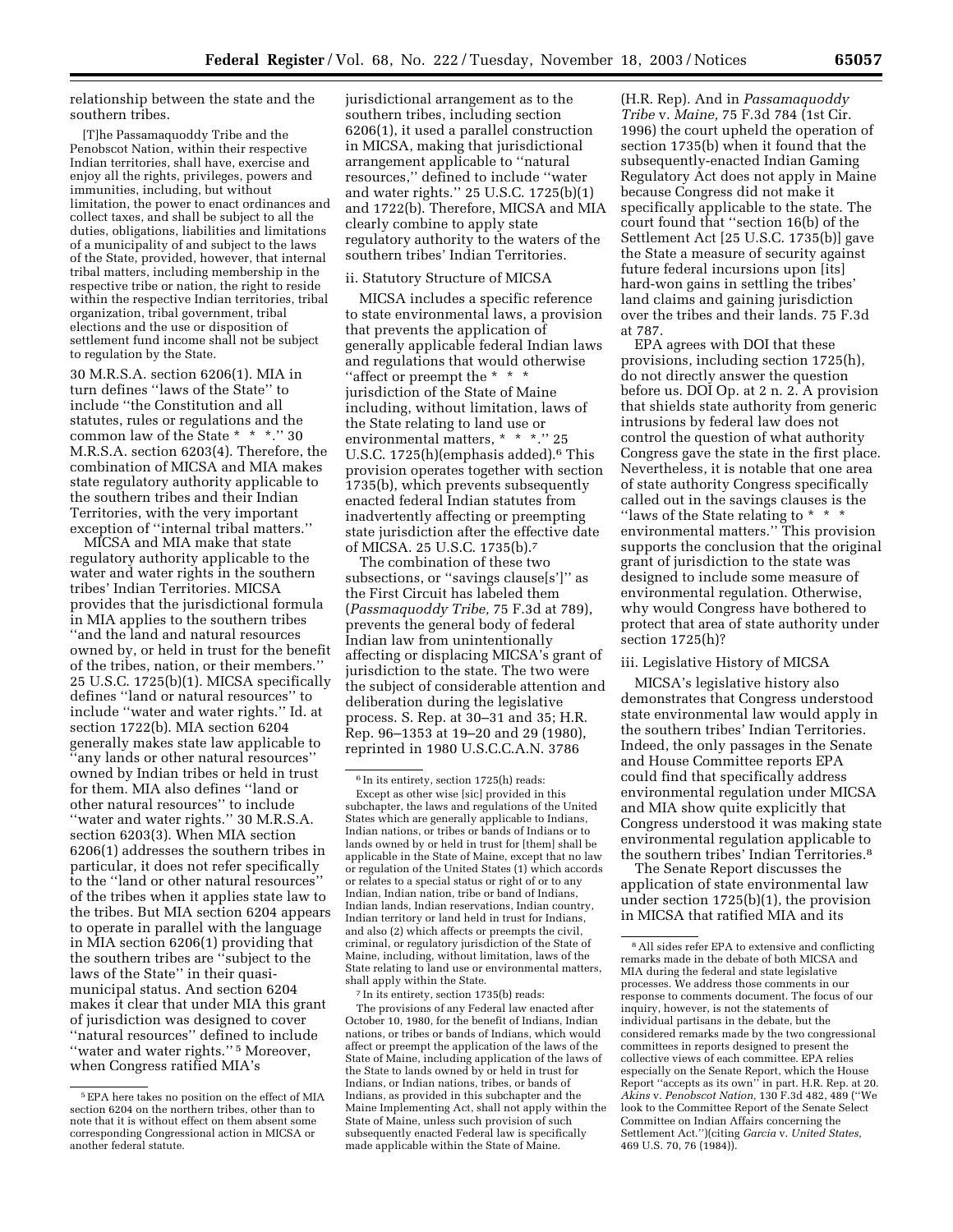relationship between the state and the southern tribes.

[T]he Passamaquoddy Tribe and the Penobscot Nation, within their respective Indian territories, shall have, exercise and enjoy all the rights, privileges, powers and immunities, including, but without limitation, the power to enact ordinances and collect taxes, and shall be subject to all the duties, obligations, liabilities and limitations of a municipality of and subject to the laws of the State, provided, however, that internal tribal matters, including membership in the respective tribe or nation, the right to reside within the respective Indian territories, tribal organization, tribal government, tribal elections and the use or disposition of settlement fund income shall not be subject to regulation by the State.

30 M.R.S.A. section 6206(1). MIA in turn defines ''laws of the State'' to include ''the Constitution and all statutes, rules or regulations and the common law of the State \* \* \*.'' 30 M.R.S.A. section 6203(4). Therefore, the combination of MICSA and MIA makes state regulatory authority applicable to the southern tribes and their Indian Territories, with the very important exception of ''internal tribal matters.''

MICSA and MIA make that state regulatory authority applicable to the water and water rights in the southern tribes' Indian Territories. MICSA provides that the jurisdictional formula in MIA applies to the southern tribes ''and the land and natural resources owned by, or held in trust for the benefit of the tribes, nation, or their members.'' 25 U.S.C. 1725(b)(1). MICSA specifically defines ''land or natural resources'' to include ''water and water rights.'' Id. at section 1722(b). MIA section 6204 generally makes state law applicable to ''any lands or other natural resources'' owned by Indian tribes or held in trust for them. MIA also defines ''land or other natural resources'' to include ''water and water rights.'' 30 M.R.S.A. section 6203(3). When MIA section 6206(1) addresses the southern tribes in particular, it does not refer specifically to the ''land or other natural resources'' of the tribes when it applies state law to the tribes. But MIA section 6204 appears to operate in parallel with the language in MIA section 6206(1) providing that the southern tribes are ''subject to the laws of the State'' in their quasimunicipal status. And section 6204 makes it clear that under MIA this grant of jurisdiction was designed to cover ''natural resources'' defined to include "water and water rights."<sup>5</sup> Moreover, when Congress ratified MIA's

jurisdictional arrangement as to the southern tribes, including section 6206(1), it used a parallel construction in MICSA, making that jurisdictional arrangement applicable to ''natural resources,'' defined to include ''water and water rights.'' 25 U.S.C. 1725(b)(1) and 1722(b). Therefore, MICSA and MIA clearly combine to apply state regulatory authority to the waters of the southern tribes' Indian Territories.

#### ii. Statutory Structure of MICSA

MICSA includes a specific reference to state environmental laws, a provision that prevents the application of generally applicable federal Indian laws and regulations that would otherwise ''affect or preempt the \* \* \* jurisdiction of the State of Maine including, without limitation, laws of the State relating to land use or environmental matters, \* \* \*.'' 25 U.S.C. 1725(h)(emphasis added).<sup>6</sup> This provision operates together with section 1735(b), which prevents subsequently enacted federal Indian statutes from inadvertently affecting or preempting state jurisdiction after the effective date of MICSA. 25 U.S.C. 1735(b).7

The combination of these two subsections, or ''savings clause[s']'' as the First Circuit has labeled them (*Passmaquoddy Tribe,* 75 F.3d at 789), prevents the general body of federal Indian law from unintentionally affecting or displacing MICSA's grant of jurisdiction to the state. The two were the subject of considerable attention and deliberation during the legislative process. S. Rep. at 30–31 and 35; H.R. Rep. 96–1353 at 19–20 and 29 (1980), reprinted in 1980 U.S.C.C.A.N. 3786

7 In its entirety, section 1735(b) reads: The provisions of any Federal law enacted after October 10, 1980, for the benefit of Indians, Indian nations, or tribes or bands of Indians, which would affect or preempt the application of the laws of the State of Maine, including application of the laws of the State to lands owned by or held in trust for Indians, or Indian nations, tribes, or bands of Indians, as provided in this subchapter and the Maine Implementing Act, shall not apply within the State of Maine, unless such provision of such subsequently enacted Federal law is specifically made applicable within the State of Maine.

(H.R. Rep). And in *Passamaquoddy Tribe* v. *Maine,* 75 F.3d 784 (1st Cir. 1996) the court upheld the operation of section 1735(b) when it found that the subsequently-enacted Indian Gaming Regulatory Act does not apply in Maine because Congress did not make it specifically applicable to the state. The court found that ''section 16(b) of the Settlement Act [25 U.S.C. 1735(b)] gave the State a measure of security against future federal incursions upon [its] hard-won gains in settling the tribes' land claims and gaining jurisdiction over the tribes and their lands. 75 F.3d at 787.

EPA agrees with DOI that these provisions, including section 1725(h), do not directly answer the question before us. DOI Op. at 2 n. 2. A provision that shields state authority from generic intrusions by federal law does not control the question of what authority Congress gave the state in the first place. Nevertheless, it is notable that one area of state authority Congress specifically called out in the savings clauses is the "laws of the State relating to  $* * *$ environmental matters.'' This provision supports the conclusion that the original grant of jurisdiction to the state was designed to include some measure of environmental regulation. Otherwise, why would Congress have bothered to protect that area of state authority under section 1725(h)?

## iii. Legislative History of MICSA

MICSA's legislative history also demonstrates that Congress understood state environmental law would apply in the southern tribes' Indian Territories. Indeed, the only passages in the Senate and House Committee reports EPA could find that specifically address environmental regulation under MICSA and MIA show quite explicitly that Congress understood it was making state environmental regulation applicable to the southern tribes' Indian Territories.<sup>8</sup>

The Senate Report discusses the application of state environmental law under section 1725(b)(1), the provision in MICSA that ratified MIA and its

<sup>5</sup>EPA here takes no position on the effect of MIA section 6204 on the northern tribes, other than to note that it is without effect on them absent some corresponding Congressional action in MICSA or another federal statute.

<sup>6</sup> In its entirety, section 1725(h) reads: Except as other wise [sic] provided in this subchapter, the laws and regulations of the United States which are generally applicable to Indians, Indian nations, or tribes or bands of Indians or to lands owned by or held in trust for [them] shall be applicable in the State of Maine, except that no law or regulation of the United States (1) which accords or relates to a special status or right of or to any Indian, Indian nation, tribe or band of Indians, Indian lands, Indian reservations, Indian country, Indian territory or land held in trust for Indians, and also (2) which affects or preempts the civil, criminal, or regulatory jurisdiction of the State of Maine, including, without limitation, laws of the State relating to land use or environmental matters, shall apply within the State.

<sup>8</sup>All sides refer EPA to extensive and conflicting remarks made in the debate of both MICSA and MIA during the federal and state legislative processes. We address those comments in our response to comments document. The focus of our inquiry, however, is not the statements of individual partisans in the debate, but the considered remarks made by the two congressional committees in reports designed to present the collective views of each committee. EPA relies especially on the Senate Report, which the House Report ''accepts as its own'' in part. H.R. Rep. at 20. *Akins* v. *Penobscot Nation,* 130 F.3d 482, 489 (''We look to the Committee Report of the Senate Select Committee on Indian Affairs concerning the Settlement Act.'')(citing *Garcia* v. *United States,* 469 U.S. 70, 76 (1984)).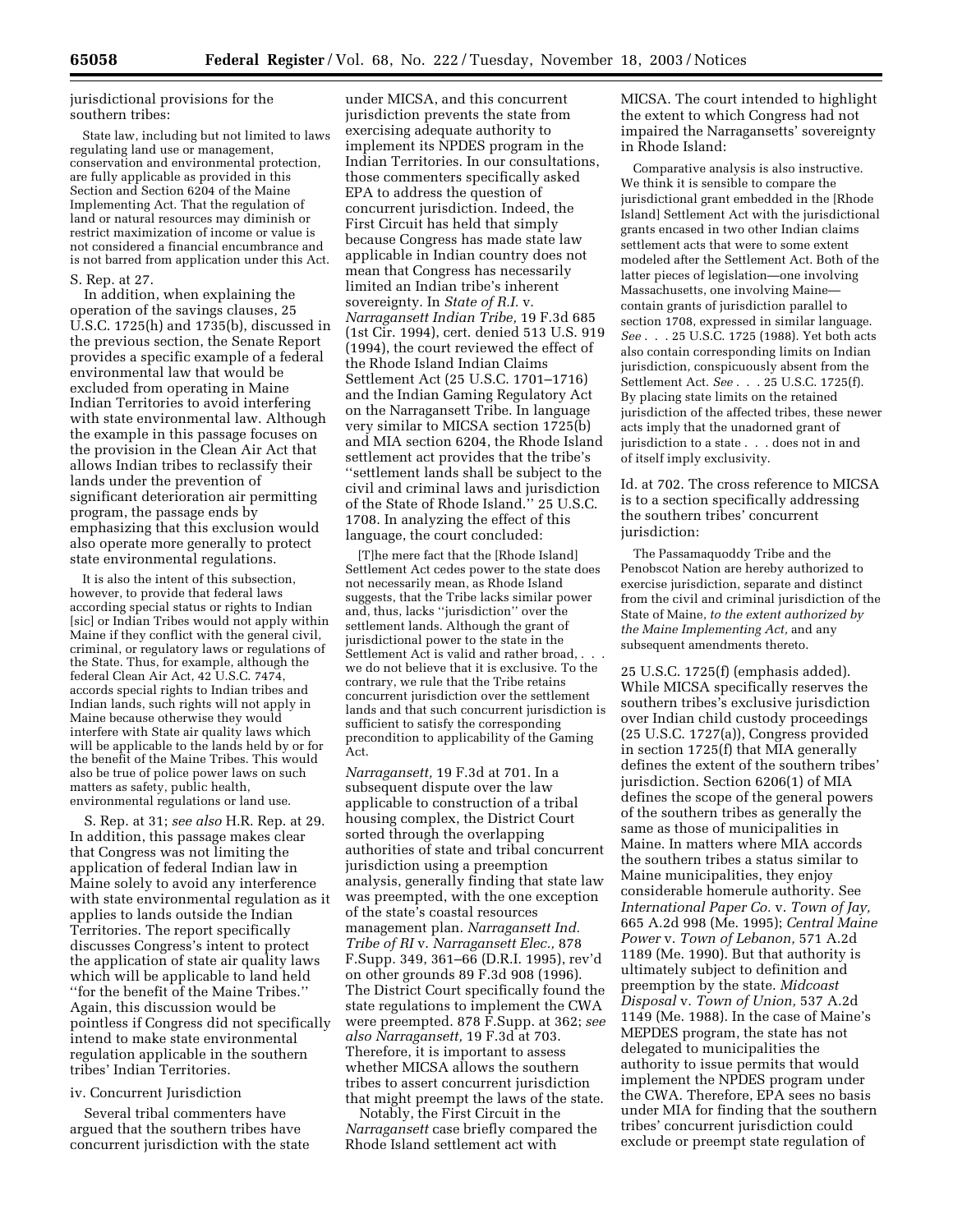jurisdictional provisions for the southern tribes:

State law, including but not limited to laws regulating land use or management, conservation and environmental protection, are fully applicable as provided in this Section and Section 6204 of the Maine Implementing Act. That the regulation of land or natural resources may diminish or restrict maximization of income or value is not considered a financial encumbrance and is not barred from application under this Act.

S. Rep. at 27.

In addition, when explaining the operation of the savings clauses, 25 U.S.C. 1725(h) and 1735(b), discussed in the previous section, the Senate Report provides a specific example of a federal environmental law that would be excluded from operating in Maine Indian Territories to avoid interfering with state environmental law. Although the example in this passage focuses on the provision in the Clean Air Act that allows Indian tribes to reclassify their lands under the prevention of significant deterioration air permitting program, the passage ends by emphasizing that this exclusion would also operate more generally to protect state environmental regulations.

It is also the intent of this subsection, however, to provide that federal laws according special status or rights to Indian [sic] or Indian Tribes would not apply within Maine if they conflict with the general civil, criminal, or regulatory laws or regulations of the State. Thus, for example, although the federal Clean Air Act, 42 U.S.C. 7474, accords special rights to Indian tribes and Indian lands, such rights will not apply in Maine because otherwise they would interfere with State air quality laws which will be applicable to the lands held by or for the benefit of the Maine Tribes. This would also be true of police power laws on such matters as safety, public health, environmental regulations or land use.

S. Rep. at 31; *see also* H.R. Rep. at 29. In addition, this passage makes clear that Congress was not limiting the application of federal Indian law in Maine solely to avoid any interference with state environmental regulation as it applies to lands outside the Indian Territories. The report specifically discusses Congress's intent to protect the application of state air quality laws which will be applicable to land held ''for the benefit of the Maine Tribes.'' Again, this discussion would be pointless if Congress did not specifically intend to make state environmental regulation applicable in the southern tribes' Indian Territories.

## iv. Concurrent Jurisdiction

Several tribal commenters have argued that the southern tribes have concurrent jurisdiction with the state

under MICSA, and this concurrent jurisdiction prevents the state from exercising adequate authority to implement its NPDES program in the Indian Territories. In our consultations, those commenters specifically asked EPA to address the question of concurrent jurisdiction. Indeed, the First Circuit has held that simply because Congress has made state law applicable in Indian country does not mean that Congress has necessarily limited an Indian tribe's inherent sovereignty. In *State of R.I.* v. *Narragansett Indian Tribe,* 19 F.3d 685 (1st Cir. 1994), cert. denied 513 U.S. 919 (1994), the court reviewed the effect of the Rhode Island Indian Claims Settlement Act (25 U.S.C. 1701–1716) and the Indian Gaming Regulatory Act on the Narragansett Tribe. In language very similar to MICSA section 1725(b) and MIA section 6204, the Rhode Island settlement act provides that the tribe's ''settlement lands shall be subject to the civil and criminal laws and jurisdiction of the State of Rhode Island.'' 25 U.S.C. 1708. In analyzing the effect of this language, the court concluded:

[T]he mere fact that the [Rhode Island] Settlement Act cedes power to the state does not necessarily mean, as Rhode Island suggests, that the Tribe lacks similar power and, thus, lacks ''jurisdiction'' over the settlement lands. Although the grant of jurisdictional power to the state in the Settlement Act is valid and rather broad,. we do not believe that it is exclusive. To the contrary, we rule that the Tribe retains concurrent jurisdiction over the settlement lands and that such concurrent jurisdiction is sufficient to satisfy the corresponding precondition to applicability of the Gaming Act.

*Narragansett,* 19 F.3d at 701. In a subsequent dispute over the law applicable to construction of a tribal housing complex, the District Court sorted through the overlapping authorities of state and tribal concurrent jurisdiction using a preemption analysis, generally finding that state law was preempted, with the one exception of the state's coastal resources management plan. *Narragansett Ind. Tribe of RI* v. *Narragansett Elec.,* 878 F.Supp. 349, 361–66 (D.R.I. 1995), rev'd on other grounds 89 F.3d 908 (1996). The District Court specifically found the state regulations to implement the CWA were preempted. 878 F.Supp. at 362; *see also Narragansett,* 19 F.3d at 703. Therefore, it is important to assess whether MICSA allows the southern tribes to assert concurrent jurisdiction that might preempt the laws of the state.

Notably, the First Circuit in the *Narragansett* case briefly compared the Rhode Island settlement act with

MICSA. The court intended to highlight the extent to which Congress had not impaired the Narragansetts' sovereignty in Rhode Island:

Comparative analysis is also instructive. We think it is sensible to compare the jurisdictional grant embedded in the [Rhode Island] Settlement Act with the jurisdictional grants encased in two other Indian claims settlement acts that were to some extent modeled after the Settlement Act. Both of the latter pieces of legislation—one involving Massachusetts, one involving Maine contain grants of jurisdiction parallel to section 1708, expressed in similar language. *See* . . . 25 U.S.C. 1725 (1988). Yet both acts also contain corresponding limits on Indian jurisdiction, conspicuously absent from the Settlement Act. *See* . . . 25 U.S.C. 1725(f). By placing state limits on the retained jurisdiction of the affected tribes, these newer acts imply that the unadorned grant of jurisdiction to a state . . . does not in and of itself imply exclusivity.

Id. at 702. The cross reference to MICSA is to a section specifically addressing the southern tribes' concurrent jurisdiction:

The Passamaquoddy Tribe and the Penobscot Nation are hereby authorized to exercise jurisdiction, separate and distinct from the civil and criminal jurisdiction of the State of Maine, *to the extent authorized by the Maine Implementing Act,* and any subsequent amendments thereto.

25 U.S.C. 1725(f) (emphasis added). While MICSA specifically reserves the southern tribes's exclusive jurisdiction over Indian child custody proceedings (25 U.S.C. 1727(a)), Congress provided in section 1725(f) that MIA generally defines the extent of the southern tribes' jurisdiction. Section 6206(1) of MIA defines the scope of the general powers of the southern tribes as generally the same as those of municipalities in Maine. In matters where MIA accords the southern tribes a status similar to Maine municipalities, they enjoy considerable homerule authority. See *International Paper Co.* v. *Town of Jay,* 665 A.2d 998 (Me. 1995); *Central Maine Power* v. *Town of Lebanon,* 571 A.2d 1189 (Me. 1990). But that authority is ultimately subject to definition and preemption by the state. *Midcoast Disposal* v. *Town of Union,* 537 A.2d 1149 (Me. 1988). In the case of Maine's MEPDES program, the state has not delegated to municipalities the authority to issue permits that would implement the NPDES program under the CWA. Therefore, EPA sees no basis under MIA for finding that the southern tribes' concurrent jurisdiction could exclude or preempt state regulation of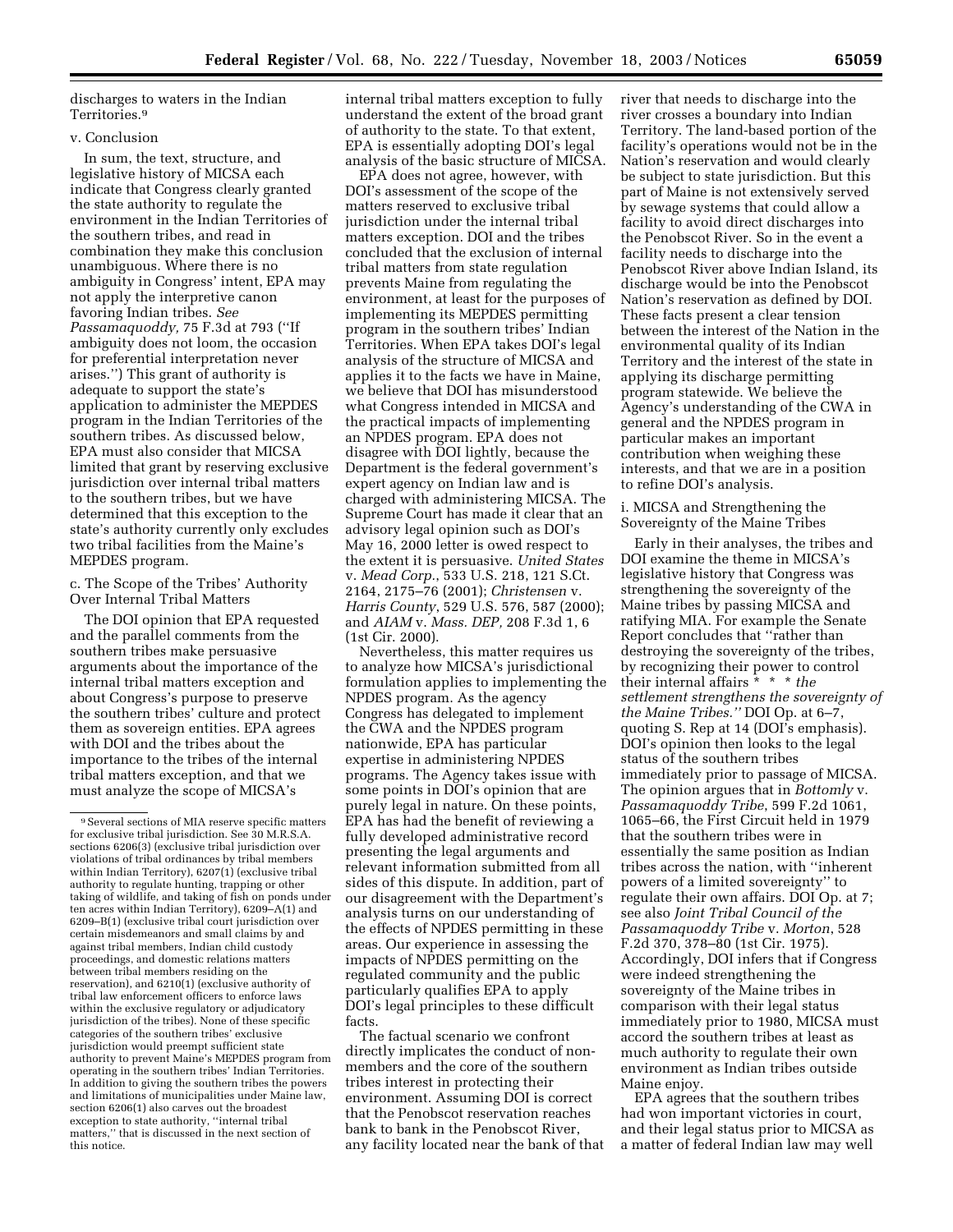discharges to waters in the Indian Territories.9

#### v. Conclusion

In sum, the text, structure, and legislative history of MICSA each indicate that Congress clearly granted the state authority to regulate the environment in the Indian Territories of the southern tribes, and read in combination they make this conclusion unambiguous. Where there is no ambiguity in Congress' intent, EPA may not apply the interpretive canon favoring Indian tribes. *See Passamaquoddy,* 75 F.3d at 793 (''If ambiguity does not loom, the occasion for preferential interpretation never arises.'') This grant of authority is adequate to support the state's application to administer the MEPDES program in the Indian Territories of the southern tribes. As discussed below, EPA must also consider that MICSA limited that grant by reserving exclusive jurisdiction over internal tribal matters to the southern tribes, but we have determined that this exception to the state's authority currently only excludes two tribal facilities from the Maine's MEPDES program.

c. The Scope of the Tribes' Authority Over Internal Tribal Matters

The DOI opinion that EPA requested and the parallel comments from the southern tribes make persuasive arguments about the importance of the internal tribal matters exception and about Congress's purpose to preserve the southern tribes' culture and protect them as sovereign entities. EPA agrees with DOI and the tribes about the importance to the tribes of the internal tribal matters exception, and that we must analyze the scope of MICSA's

internal tribal matters exception to fully understand the extent of the broad grant of authority to the state. To that extent, EPA is essentially adopting DOI's legal analysis of the basic structure of MICSA.

EPA does not agree, however, with DOI's assessment of the scope of the matters reserved to exclusive tribal jurisdiction under the internal tribal matters exception. DOI and the tribes concluded that the exclusion of internal tribal matters from state regulation prevents Maine from regulating the environment, at least for the purposes of implementing its MEPDES permitting program in the southern tribes' Indian Territories. When EPA takes DOI's legal analysis of the structure of MICSA and applies it to the facts we have in Maine, we believe that DOI has misunderstood what Congress intended in MICSA and the practical impacts of implementing an NPDES program. EPA does not disagree with DOI lightly, because the Department is the federal government's expert agency on Indian law and is charged with administering MICSA. The Supreme Court has made it clear that an advisory legal opinion such as DOI's May 16, 2000 letter is owed respect to the extent it is persuasive. *United States* v. *Mead Corp.*, 533 U.S. 218, 121 S.Ct. 2164, 2175–76 (2001); *Christensen* v. *Harris County*, 529 U.S. 576, 587 (2000); and *AIAM* v. *Mass. DEP,* 208 F.3d 1, 6 (1st Cir. 2000).

Nevertheless, this matter requires us to analyze how MICSA's jurisdictional formulation applies to implementing the NPDES program. As the agency Congress has delegated to implement the CWA and the NPDES program nationwide, EPA has particular expertise in administering NPDES programs. The Agency takes issue with some points in DOI's opinion that are purely legal in nature. On these points, EPA has had the benefit of reviewing a fully developed administrative record presenting the legal arguments and relevant information submitted from all sides of this dispute. In addition, part of our disagreement with the Department's analysis turns on our understanding of the effects of NPDES permitting in these areas. Our experience in assessing the impacts of NPDES permitting on the regulated community and the public particularly qualifies EPA to apply DOI's legal principles to these difficult facts.

The factual scenario we confront directly implicates the conduct of nonmembers and the core of the southern tribes interest in protecting their environment. Assuming DOI is correct that the Penobscot reservation reaches bank to bank in the Penobscot River, any facility located near the bank of that river that needs to discharge into the river crosses a boundary into Indian Territory. The land-based portion of the facility's operations would not be in the Nation's reservation and would clearly be subject to state jurisdiction. But this part of Maine is not extensively served by sewage systems that could allow a facility to avoid direct discharges into the Penobscot River. So in the event a facility needs to discharge into the Penobscot River above Indian Island, its discharge would be into the Penobscot Nation's reservation as defined by DOI. These facts present a clear tension between the interest of the Nation in the environmental quality of its Indian Territory and the interest of the state in applying its discharge permitting program statewide. We believe the Agency's understanding of the CWA in general and the NPDES program in particular makes an important contribution when weighing these interests, and that we are in a position to refine DOI's analysis.

i. MICSA and Strengthening the Sovereignty of the Maine Tribes

Early in their analyses, the tribes and DOI examine the theme in MICSA's legislative history that Congress was strengthening the sovereignty of the Maine tribes by passing MICSA and ratifying MIA. For example the Senate Report concludes that ''rather than destroying the sovereignty of the tribes, by recognizing their power to control their internal affairs \* \* \* *the settlement strengthens the sovereignty of the Maine Tribes.''* DOI Op. at 6–7, quoting S. Rep at 14 (DOI's emphasis). DOI's opinion then looks to the legal status of the southern tribes immediately prior to passage of MICSA. The opinion argues that in *Bottomly* v. *Passamaquoddy Tribe*, 599 F.2d 1061, 1065–66, the First Circuit held in 1979 that the southern tribes were in essentially the same position as Indian tribes across the nation, with ''inherent powers of a limited sovereignty'' to regulate their own affairs. DOI Op. at 7; see also *Joint Tribal Council of the Passamaquoddy Tribe* v. *Morton*, 528 F.2d 370, 378–80 (1st Cir. 1975). Accordingly, DOI infers that if Congress were indeed strengthening the sovereignty of the Maine tribes in comparison with their legal status immediately prior to 1980, MICSA must accord the southern tribes at least as much authority to regulate their own environment as Indian tribes outside Maine enjoy.

EPA agrees that the southern tribes had won important victories in court, and their legal status prior to MICSA as a matter of federal Indian law may well

<sup>9</sup>Several sections of MIA reserve specific matters for exclusive tribal jurisdiction. See 30 M.R.S.A. sections 6206(3) (exclusive tribal jurisdiction over violations of tribal ordinances by tribal members within Indian Territory), 6207(1) (exclusive tribal authority to regulate hunting, trapping or other taking of wildlife, and taking of fish on ponds under ten acres within Indian Territory), 6209–A(1) and 6209–B(1) (exclusive tribal court jurisdiction over certain misdemeanors and small claims by and against tribal members, Indian child custody proceedings, and domestic relations matters between tribal members residing on the reservation), and 6210(1) (exclusive authority of tribal law enforcement officers to enforce laws within the exclusive regulatory or adjudicatory jurisdiction of the tribes). None of these specific categories of the southern tribes' exclusive jurisdiction would preempt sufficient state authority to prevent Maine's MEPDES program from operating in the southern tribes' Indian Territories. In addition to giving the southern tribes the powers and limitations of municipalities under Maine law, section 6206(1) also carves out the broadest exception to state authority, ''internal tribal matters,'' that is discussed in the next section of this notice.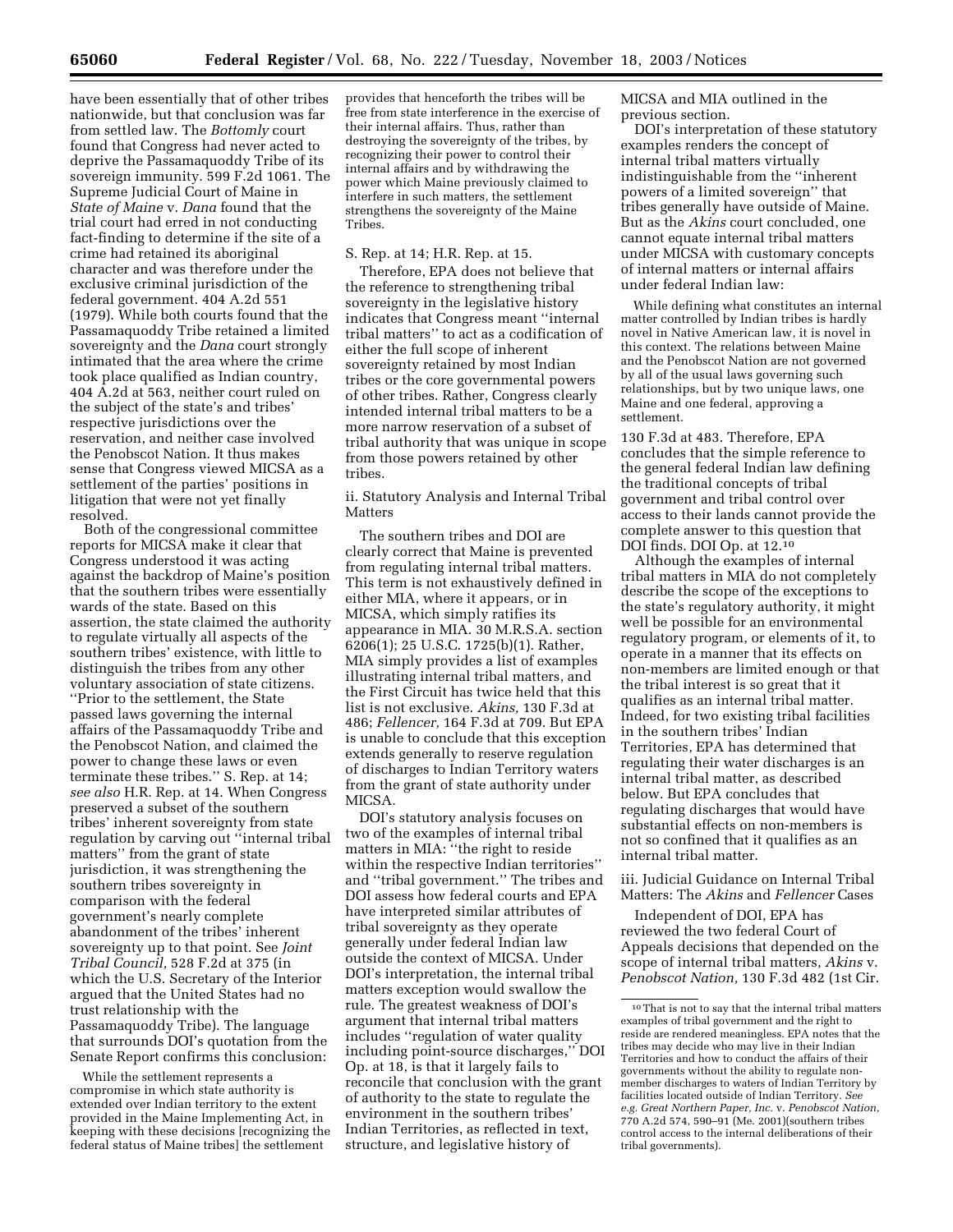have been essentially that of other tribes nationwide, but that conclusion was far from settled law. The *Bottomly* court found that Congress had never acted to deprive the Passamaquoddy Tribe of its sovereign immunity. 599 F.2d 1061. The Supreme Judicial Court of Maine in *State of Maine* v. *Dana* found that the trial court had erred in not conducting fact-finding to determine if the site of a crime had retained its aboriginal character and was therefore under the exclusive criminal jurisdiction of the federal government. 404 A.2d 551 (1979). While both courts found that the Passamaquoddy Tribe retained a limited sovereignty and the *Dana* court strongly intimated that the area where the crime took place qualified as Indian country, 404 A.2d at 563, neither court ruled on the subject of the state's and tribes' respective jurisdictions over the reservation, and neither case involved the Penobscot Nation. It thus makes sense that Congress viewed MICSA as a settlement of the parties' positions in litigation that were not yet finally resolved.

Both of the congressional committee reports for MICSA make it clear that Congress understood it was acting against the backdrop of Maine's position that the southern tribes were essentially wards of the state. Based on this assertion, the state claimed the authority to regulate virtually all aspects of the southern tribes' existence, with little to distinguish the tribes from any other voluntary association of state citizens. ''Prior to the settlement, the State passed laws governing the internal affairs of the Passamaquoddy Tribe and the Penobscot Nation, and claimed the power to change these laws or even terminate these tribes.'' S. Rep. at 14; *see also* H.R. Rep. at 14. When Congress preserved a subset of the southern tribes' inherent sovereignty from state regulation by carving out ''internal tribal matters'' from the grant of state jurisdiction, it was strengthening the southern tribes sovereignty in comparison with the federal government's nearly complete abandonment of the tribes' inherent sovereignty up to that point. See *Joint Tribal Council,* 528 F.2d at 375 (in which the U.S. Secretary of the Interior argued that the United States had no trust relationship with the Passamaquoddy Tribe). The language that surrounds DOI's quotation from the Senate Report confirms this conclusion:

While the settlement represents a compromise in which state authority is extended over Indian territory to the extent provided in the Maine Implementing Act, in keeping with these decisions [recognizing the federal status of Maine tribes] the settlement

provides that henceforth the tribes will be free from state interference in the exercise of their internal affairs. Thus, rather than destroying the sovereignty of the tribes, by recognizing their power to control their internal affairs and by withdrawing the power which Maine previously claimed to interfere in such matters, the settlement strengthens the sovereignty of the Maine Tribes.

## S. Rep. at 14; H.R. Rep. at 15.

Therefore, EPA does not believe that the reference to strengthening tribal sovereignty in the legislative history indicates that Congress meant ''internal tribal matters'' to act as a codification of either the full scope of inherent sovereignty retained by most Indian tribes or the core governmental powers of other tribes. Rather, Congress clearly intended internal tribal matters to be a more narrow reservation of a subset of tribal authority that was unique in scope from those powers retained by other tribes.

ii. Statutory Analysis and Internal Tribal **Matters** 

The southern tribes and DOI are clearly correct that Maine is prevented from regulating internal tribal matters. This term is not exhaustively defined in either MIA, where it appears, or in MICSA, which simply ratifies its appearance in MIA. 30 M.R.S.A. section 6206(1); 25 U.S.C. 1725(b)(1). Rather, MIA simply provides a list of examples illustrating internal tribal matters, and the First Circuit has twice held that this list is not exclusive. *Akins,* 130 F.3d at 486; *Fellencer,* 164 F.3d at 709. But EPA is unable to conclude that this exception extends generally to reserve regulation of discharges to Indian Territory waters from the grant of state authority under MICSA.

DOI's statutory analysis focuses on two of the examples of internal tribal matters in MIA: ''the right to reside within the respective Indian territories'' and ''tribal government.'' The tribes and DOI assess how federal courts and EPA have interpreted similar attributes of tribal sovereignty as they operate generally under federal Indian law outside the context of MICSA. Under DOI's interpretation, the internal tribal matters exception would swallow the rule. The greatest weakness of DOI's argument that internal tribal matters includes ''regulation of water quality including point-source discharges,'' DOI Op. at 18, is that it largely fails to reconcile that conclusion with the grant of authority to the state to regulate the environment in the southern tribes' Indian Territories, as reflected in text, structure, and legislative history of

MICSA and MIA outlined in the previous section.

DOI's interpretation of these statutory examples renders the concept of internal tribal matters virtually indistinguishable from the ''inherent powers of a limited sovereign'' that tribes generally have outside of Maine. But as the *Akins* court concluded, one cannot equate internal tribal matters under MICSA with customary concepts of internal matters or internal affairs under federal Indian law:

While defining what constitutes an internal matter controlled by Indian tribes is hardly novel in Native American law, it is novel in this context. The relations between Maine and the Penobscot Nation are not governed by all of the usual laws governing such relationships, but by two unique laws, one Maine and one federal, approving a settlement.

130 F.3d at 483. Therefore, EPA concludes that the simple reference to the general federal Indian law defining the traditional concepts of tribal government and tribal control over access to their lands cannot provide the complete answer to this question that DOI finds. DOI Op. at 12.10

Although the examples of internal tribal matters in MIA do not completely describe the scope of the exceptions to the state's regulatory authority, it might well be possible for an environmental regulatory program, or elements of it, to operate in a manner that its effects on non-members are limited enough or that the tribal interest is so great that it qualifies as an internal tribal matter. Indeed, for two existing tribal facilities in the southern tribes' Indian Territories, EPA has determined that regulating their water discharges is an internal tribal matter, as described below. But EPA concludes that regulating discharges that would have substantial effects on non-members is not so confined that it qualifies as an internal tribal matter.

iii. Judicial Guidance on Internal Tribal Matters: The *Akins* and *Fellencer* Cases

Independent of DOI, EPA has reviewed the two federal Court of Appeals decisions that depended on the scope of internal tribal matters, *Akins* v. *Penobscot Nation,* 130 F.3d 482 (1st Cir.

<sup>10</sup>That is not to say that the internal tribal matters examples of tribal government and the right to reside are rendered meaningless. EPA notes that the tribes may decide who may live in their Indian Territories and how to conduct the affairs of their governments without the ability to regulate nonmember discharges to waters of Indian Territory by facilities located outside of Indian Territory. *See e.g. Great Northern Paper, Inc.* v. *Penobscot Nation,* 770 A.2d 574, 590–91 (Me. 2001)(southern tribes control access to the internal deliberations of their tribal governments).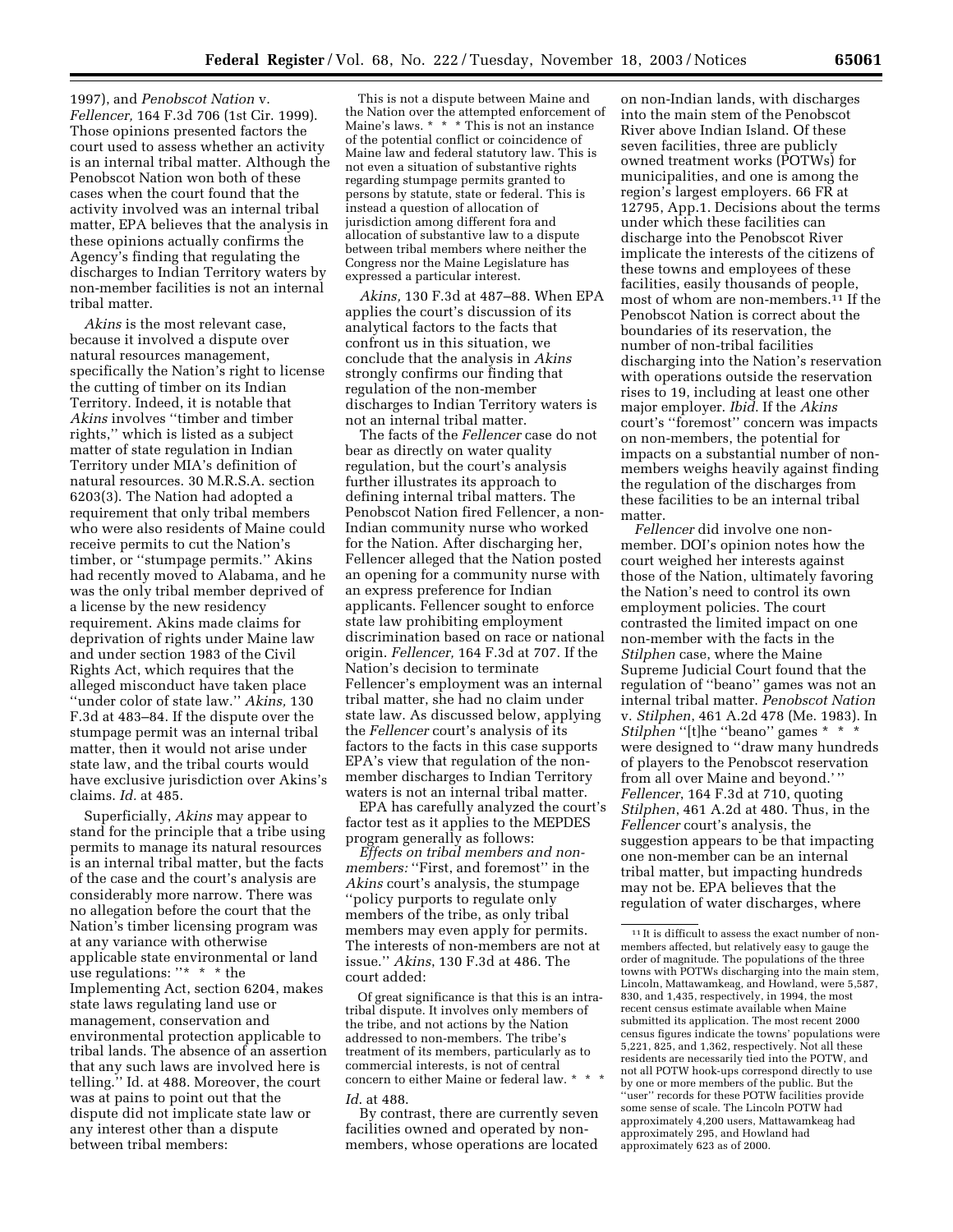1997), and *Penobscot Nation* v. *Fellencer,* 164 F.3d 706 (1st Cir. 1999). Those opinions presented factors the court used to assess whether an activity is an internal tribal matter. Although the Penobscot Nation won both of these cases when the court found that the activity involved was an internal tribal matter, EPA believes that the analysis in these opinions actually confirms the Agency's finding that regulating the discharges to Indian Territory waters by non-member facilities is not an internal tribal matter.

*Akins* is the most relevant case, because it involved a dispute over natural resources management, specifically the Nation's right to license the cutting of timber on its Indian Territory. Indeed, it is notable that *Akins* involves ''timber and timber rights,'' which is listed as a subject matter of state regulation in Indian Territory under MIA's definition of natural resources. 30 M.R.S.A. section 6203(3). The Nation had adopted a requirement that only tribal members who were also residents of Maine could receive permits to cut the Nation's timber, or ''stumpage permits.'' Akins had recently moved to Alabama, and he was the only tribal member deprived of a license by the new residency requirement. Akins made claims for deprivation of rights under Maine law and under section 1983 of the Civil Rights Act, which requires that the alleged misconduct have taken place ''under color of state law.'' *Akins,* 130 F.3d at 483–84. If the dispute over the stumpage permit was an internal tribal matter, then it would not arise under state law, and the tribal courts would have exclusive jurisdiction over Akins's claims. *Id.* at 485.

Superficially, *Akins* may appear to stand for the principle that a tribe using permits to manage its natural resources is an internal tribal matter, but the facts of the case and the court's analysis are considerably more narrow. There was no allegation before the court that the Nation's timber licensing program was at any variance with otherwise applicable state environmental or land use regulations: ''\* \* \* the Implementing Act, section 6204, makes state laws regulating land use or management, conservation and environmental protection applicable to tribal lands. The absence of an assertion that any such laws are involved here is telling.'' Id. at 488. Moreover, the court was at pains to point out that the dispute did not implicate state law or any interest other than a dispute between tribal members:

This is not a dispute between Maine and the Nation over the attempted enforcement of Maine's laws. \* \* \* This is not an instance of the potential conflict or coincidence of Maine law and federal statutory law. This is not even a situation of substantive rights regarding stumpage permits granted to persons by statute, state or federal. This is instead a question of allocation of jurisdiction among different fora and allocation of substantive law to a dispute between tribal members where neither the Congress nor the Maine Legislature has expressed a particular interest.

*Akins,* 130 F.3d at 487–88. When EPA applies the court's discussion of its analytical factors to the facts that confront us in this situation, we conclude that the analysis in *Akins* strongly confirms our finding that regulation of the non-member discharges to Indian Territory waters is not an internal tribal matter.

The facts of the *Fellencer* case do not bear as directly on water quality regulation, but the court's analysis further illustrates its approach to defining internal tribal matters. The Penobscot Nation fired Fellencer, a non-Indian community nurse who worked for the Nation. After discharging her, Fellencer alleged that the Nation posted an opening for a community nurse with an express preference for Indian applicants. Fellencer sought to enforce state law prohibiting employment discrimination based on race or national origin. *Fellencer,* 164 F.3d at 707. If the Nation's decision to terminate Fellencer's employment was an internal tribal matter, she had no claim under state law. As discussed below, applying the *Fellencer* court's analysis of its factors to the facts in this case supports EPA's view that regulation of the nonmember discharges to Indian Territory waters is not an internal tribal matter.

EPA has carefully analyzed the court's factor test as it applies to the MEPDES program generally as follows:

*Effects on tribal members and nonmembers:* "First, and foremost" in the *Akins* court's analysis, the stumpage ''policy purports to regulate only members of the tribe, as only tribal members may even apply for permits. The interests of non-members are not at issue.'' *Akins*, 130 F.3d at 486. The court added:

Of great significance is that this is an intratribal dispute. It involves only members of the tribe, and not actions by the Nation addressed to non-members. The tribe's treatment of its members, particularly as to commercial interests, is not of central concern to either Maine or federal law. \* *Id*. at 488.

By contrast, there are currently seven facilities owned and operated by nonmembers, whose operations are located

on non-Indian lands, with discharges into the main stem of the Penobscot River above Indian Island. Of these seven facilities, three are publicly owned treatment works (POTWs) for municipalities, and one is among the region's largest employers. 66 FR at 12795, App.1. Decisions about the terms under which these facilities can discharge into the Penobscot River implicate the interests of the citizens of these towns and employees of these facilities, easily thousands of people, most of whom are non-members.11 If the Penobscot Nation is correct about the boundaries of its reservation, the number of non-tribal facilities discharging into the Nation's reservation with operations outside the reservation rises to 19, including at least one other major employer. *Ibid*. If the *Akins* court's ''foremost'' concern was impacts on non-members, the potential for impacts on a substantial number of nonmembers weighs heavily against finding the regulation of the discharges from these facilities to be an internal tribal matter.

*Fellencer* did involve one nonmember. DOI's opinion notes how the court weighed her interests against those of the Nation, ultimately favoring the Nation's need to control its own employment policies. The court contrasted the limited impact on one non-member with the facts in the *Stilphen* case, where the Maine Supreme Judicial Court found that the regulation of ''beano'' games was not an internal tribal matter. *Penobscot Nation* v. *Stilphen*, 461 A.2d 478 (Me. 1983). In *Stilphen* "[t]he "beano" games \* \* were designed to ''draw many hundreds of players to the Penobscot reservation from all over Maine and beyond.' '' *Fellencer*, 164 F.3d at 710, quoting *Stilphen*, 461 A.2d at 480. Thus, in the *Fellencer* court's analysis, the suggestion appears to be that impacting one non-member can be an internal tribal matter, but impacting hundreds may not be. EPA believes that the regulation of water discharges, where

 $^{\rm 11}\!$  It is difficult to assess the exact number of nonmembers affected, but relatively easy to gauge the order of magnitude. The populations of the three towns with POTWs discharging into the main stem, Lincoln, Mattawamkeag, and Howland, were 5,587, 830, and 1,435, respectively, in 1994, the most recent census estimate available when Maine submitted its application. The most recent 2000 census figures indicate the towns' populations were 5,221, 825, and 1,362, respectively. Not all these residents are necessarily tied into the POTW, and not all POTW hook-ups correspond directly to use by one or more members of the public. But the "user" records for these POTW facilities provide some sense of scale. The Lincoln POTW had approximately 4,200 users, Mattawamkeag had approximately 295, and Howland had approximately 623 as of 2000.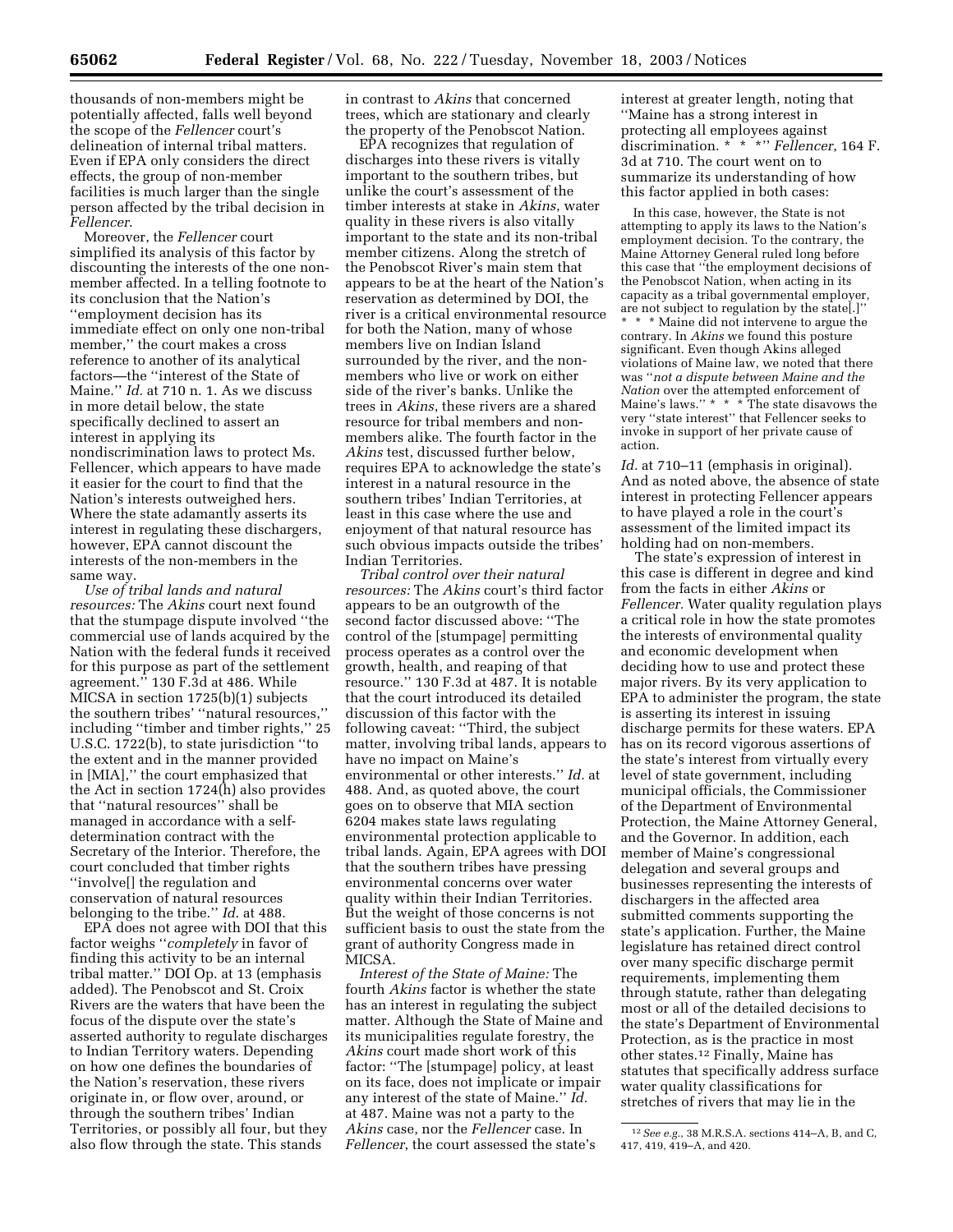thousands of non-members might be potentially affected, falls well beyond the scope of the *Fellencer* court's delineation of internal tribal matters. Even if EPA only considers the direct effects, the group of non-member facilities is much larger than the single person affected by the tribal decision in *Fellencer*.

Moreover, the *Fellencer* court simplified its analysis of this factor by discounting the interests of the one nonmember affected. In a telling footnote to its conclusion that the Nation's ''employment decision has its immediate effect on only one non-tribal member,'' the court makes a cross reference to another of its analytical factors—the ''interest of the State of Maine.'' *Id.* at 710 n. 1. As we discuss in more detail below, the state specifically declined to assert an interest in applying its nondiscrimination laws to protect Ms. Fellencer, which appears to have made it easier for the court to find that the Nation's interests outweighed hers. Where the state adamantly asserts its interest in regulating these dischargers, however, EPA cannot discount the interests of the non-members in the same way.

*Use of tribal lands and natural resources:* The *Akins* court next found that the stumpage dispute involved ''the commercial use of lands acquired by the Nation with the federal funds it received for this purpose as part of the settlement agreement.'' 130 F.3d at 486. While MICSA in section 1725(b)(1) subjects the southern tribes' ''natural resources,'' including ''timber and timber rights,'' 25 U.S.C. 1722(b), to state jurisdiction ''to the extent and in the manner provided in [MIA],'' the court emphasized that the Act in section 1724(h) also provides that ''natural resources'' shall be managed in accordance with a selfdetermination contract with the Secretary of the Interior. Therefore, the court concluded that timber rights ''involve[] the regulation and conservation of natural resources belonging to the tribe.'' *Id*. at 488.

EPA does not agree with DOI that this factor weighs ''*completely* in favor of finding this activity to be an internal tribal matter.'' DOI Op. at 13 (emphasis added). The Penobscot and St. Croix Rivers are the waters that have been the focus of the dispute over the state's asserted authority to regulate discharges to Indian Territory waters. Depending on how one defines the boundaries of the Nation's reservation, these rivers originate in, or flow over, around, or through the southern tribes' Indian Territories, or possibly all four, but they also flow through the state. This stands

in contrast to *Akins* that concerned trees, which are stationary and clearly the property of the Penobscot Nation.

EPA recognizes that regulation of discharges into these rivers is vitally important to the southern tribes, but unlike the court's assessment of the timber interests at stake in *Akins*, water quality in these rivers is also vitally important to the state and its non-tribal member citizens. Along the stretch of the Penobscot River's main stem that appears to be at the heart of the Nation's reservation as determined by DOI, the river is a critical environmental resource for both the Nation, many of whose members live on Indian Island surrounded by the river, and the nonmembers who live or work on either side of the river's banks. Unlike the trees in *Akins*, these rivers are a shared resource for tribal members and nonmembers alike. The fourth factor in the *Akins* test, discussed further below, requires EPA to acknowledge the state's interest in a natural resource in the southern tribes' Indian Territories, at least in this case where the use and enjoyment of that natural resource has such obvious impacts outside the tribes' Indian Territories.

*Tribal control over their natural resources:* The *Akins* court's third factor appears to be an outgrowth of the second factor discussed above: ''The control of the [stumpage] permitting process operates as a control over the growth, health, and reaping of that resource.'' 130 F.3d at 487. It is notable that the court introduced its detailed discussion of this factor with the following caveat: ''Third, the subject matter, involving tribal lands, appears to have no impact on Maine's environmental or other interests.'' *Id.* at 488. And, as quoted above, the court goes on to observe that MIA section 6204 makes state laws regulating environmental protection applicable to tribal lands. Again, EPA agrees with DOI that the southern tribes have pressing environmental concerns over water quality within their Indian Territories. But the weight of those concerns is not sufficient basis to oust the state from the grant of authority Congress made in MICSA.

*Interest of the State of Maine:* The fourth *Akins* factor is whether the state has an interest in regulating the subject matter. Although the State of Maine and its municipalities regulate forestry, the *Akins* court made short work of this factor: ''The [stumpage] policy, at least on its face, does not implicate or impair any interest of the state of Maine.'' *Id.* at 487. Maine was not a party to the *Akins* case, nor the *Fellencer* case. In *Fellencer*, the court assessed the state's

interest at greater length, noting that ''Maine has a strong interest in protecting all employees against discrimination. \* \* \*'' *Fellencer*, 164 F. 3d at 710. The court went on to summarize its understanding of how this factor applied in both cases:

In this case, however, the State is not attempting to apply its laws to the Nation's employment decision. To the contrary, the Maine Attorney General ruled long before this case that ''the employment decisions of the Penobscot Nation, when acting in its capacity as a tribal governmental employer, are not subject to regulation by the state[.]'' \* \* \* Maine did not intervene to argue the contrary. In *Akins* we found this posture significant. Even though Akins alleged violations of Maine law, we noted that there was ''*not a dispute between Maine and the Nation* over the attempted enforcement of Maine's laws.'' \* \* \* The state disavows the very ''state interest'' that Fellencer seeks to invoke in support of her private cause of action.

*Id.* at 710–11 (emphasis in original). And as noted above, the absence of state interest in protecting Fellencer appears to have played a role in the court's assessment of the limited impact its holding had on non-members.

The state's expression of interest in this case is different in degree and kind from the facts in either *Akins* or *Fellencer.* Water quality regulation plays a critical role in how the state promotes the interests of environmental quality and economic development when deciding how to use and protect these major rivers. By its very application to EPA to administer the program, the state is asserting its interest in issuing discharge permits for these waters. EPA has on its record vigorous assertions of the state's interest from virtually every level of state government, including municipal officials, the Commissioner of the Department of Environmental Protection, the Maine Attorney General, and the Governor. In addition, each member of Maine's congressional delegation and several groups and businesses representing the interests of dischargers in the affected area submitted comments supporting the state's application. Further, the Maine legislature has retained direct control over many specific discharge permit requirements, implementing them through statute, rather than delegating most or all of the detailed decisions to the state's Department of Environmental Protection, as is the practice in most other states.12 Finally, Maine has statutes that specifically address surface water quality classifications for stretches of rivers that may lie in the

<sup>12</sup>*See e.g.*, 38 M.R.S.A. sections 414–A, B, and C, 417, 419, 419–A, and 420.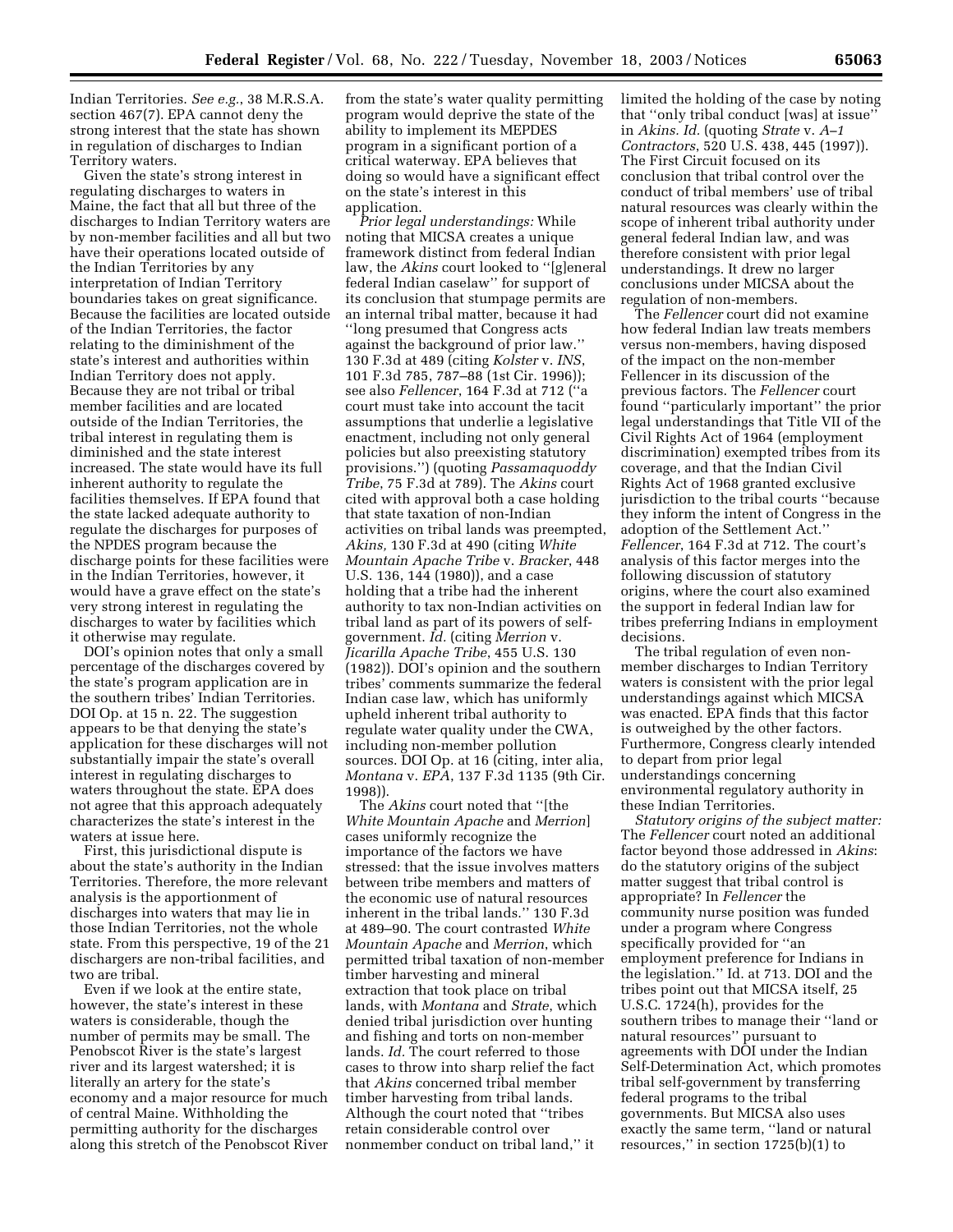Indian Territories. *See e.g.*, 38 M.R.S.A. section 467(7). EPA cannot deny the strong interest that the state has shown in regulation of discharges to Indian Territory waters.

Given the state's strong interest in regulating discharges to waters in Maine, the fact that all but three of the discharges to Indian Territory waters are by non-member facilities and all but two have their operations located outside of the Indian Territories by any interpretation of Indian Territory boundaries takes on great significance. Because the facilities are located outside of the Indian Territories, the factor relating to the diminishment of the state's interest and authorities within Indian Territory does not apply. Because they are not tribal or tribal member facilities and are located outside of the Indian Territories, the tribal interest in regulating them is diminished and the state interest increased. The state would have its full inherent authority to regulate the facilities themselves. If EPA found that the state lacked adequate authority to regulate the discharges for purposes of the NPDES program because the discharge points for these facilities were in the Indian Territories, however, it would have a grave effect on the state's very strong interest in regulating the discharges to water by facilities which it otherwise may regulate.

DOI's opinion notes that only a small percentage of the discharges covered by the state's program application are in the southern tribes' Indian Territories. DOI Op. at 15 n. 22. The suggestion appears to be that denying the state's application for these discharges will not substantially impair the state's overall interest in regulating discharges to waters throughout the state. EPA does not agree that this approach adequately characterizes the state's interest in the waters at issue here.

First, this jurisdictional dispute is about the state's authority in the Indian Territories. Therefore, the more relevant analysis is the apportionment of discharges into waters that may lie in those Indian Territories, not the whole state. From this perspective, 19 of the 21 dischargers are non-tribal facilities, and two are tribal.

Even if we look at the entire state, however, the state's interest in these waters is considerable, though the number of permits may be small. The Penobscot River is the state's largest river and its largest watershed; it is literally an artery for the state's economy and a major resource for much of central Maine. Withholding the permitting authority for the discharges along this stretch of the Penobscot River

from the state's water quality permitting program would deprive the state of the ability to implement its MEPDES program in a significant portion of a critical waterway. EPA believes that doing so would have a significant effect on the state's interest in this application.

*Prior legal understandings:* While noting that MICSA creates a unique framework distinct from federal Indian law, the *Akins* court looked to ''[g]eneral federal Indian caselaw'' for support of its conclusion that stumpage permits are an internal tribal matter, because it had ''long presumed that Congress acts against the background of prior law.'' 130 F.3d at 489 (citing *Kolster* v. *INS*, 101 F.3d 785, 787–88 (1st Cir. 1996)); see also *Fellencer*, 164 F.3d at 712 (''a court must take into account the tacit assumptions that underlie a legislative enactment, including not only general policies but also preexisting statutory provisions.'') (quoting *Passamaquoddy Tribe*, 75 F.3d at 789). The *Akins* court cited with approval both a case holding that state taxation of non-Indian activities on tribal lands was preempted, *Akins,* 130 F.3d at 490 (citing *White Mountain Apache Tribe* v. *Bracker*, 448 U.S. 136, 144 (1980)), and a case holding that a tribe had the inherent authority to tax non-Indian activities on tribal land as part of its powers of selfgovernment. *Id.* (citing *Merrion* v. *Jicarilla Apache Tribe*, 455 U.S. 130 (1982)). DOI's opinion and the southern tribes' comments summarize the federal Indian case law, which has uniformly upheld inherent tribal authority to regulate water quality under the CWA, including non-member pollution sources. DOI Op. at 16 (citing, inter alia, *Montana* v. *EPA*, 137 F.3d 1135 (9th Cir. 1998)).

The *Akins* court noted that ''[the *White Mountain Apache* and *Merrion*] cases uniformly recognize the importance of the factors we have stressed: that the issue involves matters between tribe members and matters of the economic use of natural resources inherent in the tribal lands.'' 130 F.3d at 489–90. The court contrasted *White Mountain Apache* and *Merrion*, which permitted tribal taxation of non-member timber harvesting and mineral extraction that took place on tribal lands, with *Montana* and *Strate*, which denied tribal jurisdiction over hunting and fishing and torts on non-member lands. *Id.* The court referred to those cases to throw into sharp relief the fact that *Akins* concerned tribal member timber harvesting from tribal lands. Although the court noted that ''tribes retain considerable control over nonmember conduct on tribal land,'' it

limited the holding of the case by noting that ''only tribal conduct [was] at issue'' in *Akins. Id.* (quoting *Strate* v. *A–1 Contractors*, 520 U.S. 438, 445 (1997)). The First Circuit focused on its conclusion that tribal control over the conduct of tribal members' use of tribal natural resources was clearly within the scope of inherent tribal authority under general federal Indian law, and was therefore consistent with prior legal understandings. It drew no larger conclusions under MICSA about the regulation of non-members.

The *Fellencer* court did not examine how federal Indian law treats members versus non-members, having disposed of the impact on the non-member Fellencer in its discussion of the previous factors. The *Fellencer* court found ''particularly important'' the prior legal understandings that Title VII of the Civil Rights Act of 1964 (employment discrimination) exempted tribes from its coverage, and that the Indian Civil Rights Act of 1968 granted exclusive jurisdiction to the tribal courts ''because they inform the intent of Congress in the adoption of the Settlement Act.'' *Fellencer*, 164 F.3d at 712. The court's analysis of this factor merges into the following discussion of statutory origins, where the court also examined the support in federal Indian law for tribes preferring Indians in employment decisions.

The tribal regulation of even nonmember discharges to Indian Territory waters is consistent with the prior legal understandings against which MICSA was enacted. EPA finds that this factor is outweighed by the other factors. Furthermore, Congress clearly intended to depart from prior legal understandings concerning environmental regulatory authority in these Indian Territories.

*Statutory origins of the subject matter:* The *Fellencer* court noted an additional factor beyond those addressed in *Akins*: do the statutory origins of the subject matter suggest that tribal control is appropriate? In *Fellencer* the community nurse position was funded under a program where Congress specifically provided for ''an employment preference for Indians in the legislation.'' Id. at 713. DOI and the tribes point out that MICSA itself, 25 U.S.C. 1724(h), provides for the southern tribes to manage their ''land or natural resources'' pursuant to agreements with DOI under the Indian Self-Determination Act, which promotes tribal self-government by transferring federal programs to the tribal governments. But MICSA also uses exactly the same term, ''land or natural resources,'' in section 1725(b)(1) to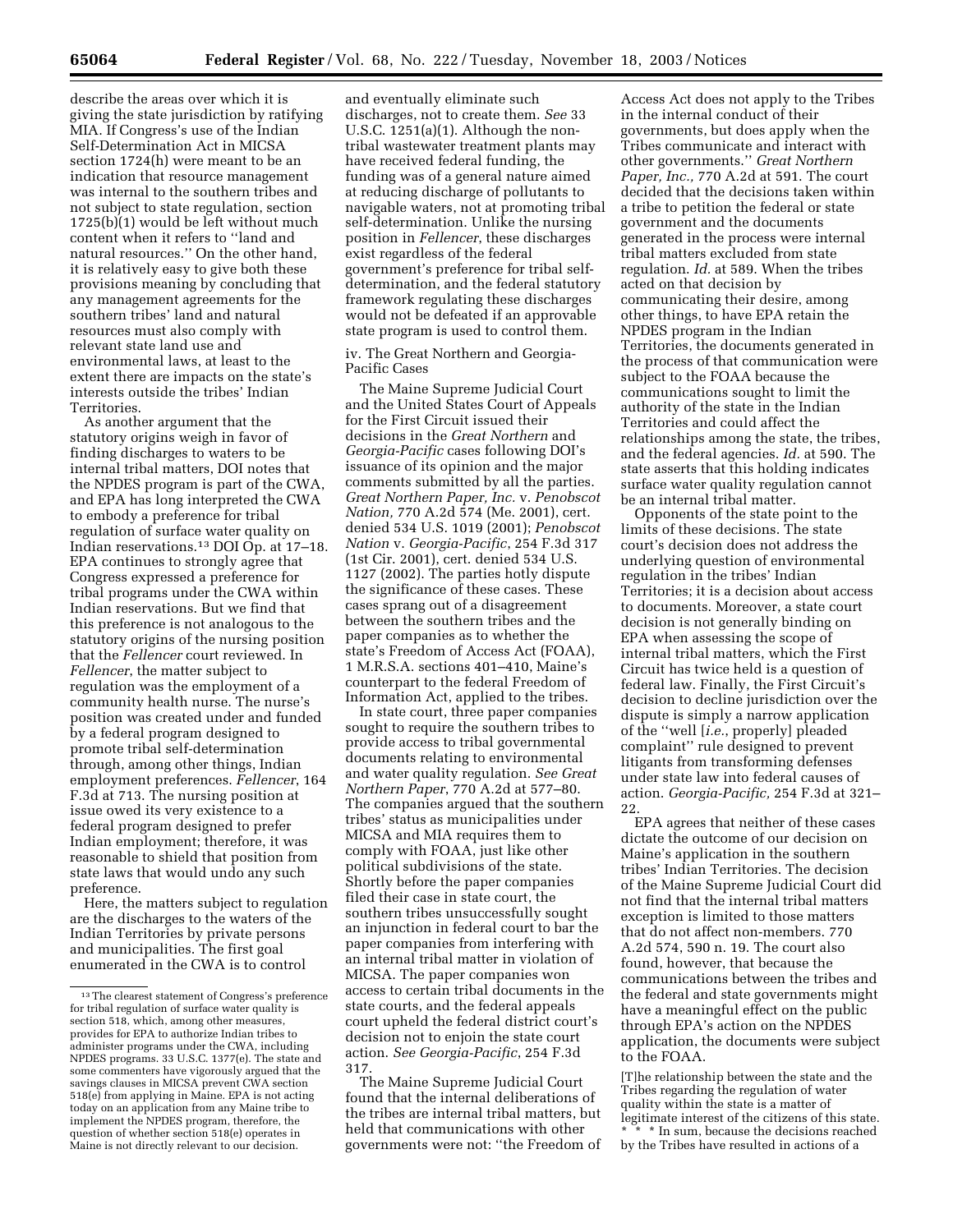describe the areas over which it is giving the state jurisdiction by ratifying MIA. If Congress's use of the Indian Self-Determination Act in MICSA section 1724(h) were meant to be an indication that resource management was internal to the southern tribes and not subject to state regulation, section 1725(b)(1) would be left without much content when it refers to ''land and natural resources.'' On the other hand, it is relatively easy to give both these provisions meaning by concluding that any management agreements for the southern tribes' land and natural resources must also comply with relevant state land use and environmental laws, at least to the extent there are impacts on the state's interests outside the tribes' Indian Territories.

As another argument that the statutory origins weigh in favor of finding discharges to waters to be internal tribal matters, DOI notes that the NPDES program is part of the CWA, and EPA has long interpreted the CWA to embody a preference for tribal regulation of surface water quality on Indian reservations.13 DOI Op. at 17–18. EPA continues to strongly agree that Congress expressed a preference for tribal programs under the CWA within Indian reservations. But we find that this preference is not analogous to the statutory origins of the nursing position that the *Fellencer* court reviewed. In *Fellencer*, the matter subject to regulation was the employment of a community health nurse. The nurse's position was created under and funded by a federal program designed to promote tribal self-determination through, among other things, Indian employment preferences. *Fellencer*, 164 F.3d at 713. The nursing position at issue owed its very existence to a federal program designed to prefer Indian employment; therefore, it was reasonable to shield that position from state laws that would undo any such preference.

Here, the matters subject to regulation are the discharges to the waters of the Indian Territories by private persons and municipalities. The first goal enumerated in the CWA is to control

and eventually eliminate such discharges, not to create them. *See* 33 U.S.C. 1251(a)(1). Although the nontribal wastewater treatment plants may have received federal funding, the funding was of a general nature aimed at reducing discharge of pollutants to navigable waters, not at promoting tribal self-determination. Unlike the nursing position in *Fellencer*, these discharges exist regardless of the federal government's preference for tribal selfdetermination, and the federal statutory framework regulating these discharges would not be defeated if an approvable state program is used to control them.

iv. The Great Northern and Georgia-Pacific Cases

The Maine Supreme Judicial Court and the United States Court of Appeals for the First Circuit issued their decisions in the *Great Northern* and *Georgia-Pacific* cases following DOI's issuance of its opinion and the major comments submitted by all the parties. *Great Northern Paper, Inc.* v. *Penobscot Nation,* 770 A.2d 574 (Me. 2001), cert. denied 534 U.S. 1019 (2001); *Penobscot Nation* v. *Georgia-Pacific*, 254 F.3d 317 (1st Cir. 2001), cert. denied 534 U.S. 1127 (2002). The parties hotly dispute the significance of these cases. These cases sprang out of a disagreement between the southern tribes and the paper companies as to whether the state's Freedom of Access Act (FOAA), 1 M.R.S.A. sections 401–410, Maine's counterpart to the federal Freedom of Information Act, applied to the tribes.

In state court, three paper companies sought to require the southern tribes to provide access to tribal governmental documents relating to environmental and water quality regulation. *See Great Northern Paper*, 770 A.2d at 577–80. The companies argued that the southern tribes' status as municipalities under MICSA and MIA requires them to comply with FOAA, just like other political subdivisions of the state. Shortly before the paper companies filed their case in state court, the southern tribes unsuccessfully sought an injunction in federal court to bar the paper companies from interfering with an internal tribal matter in violation of MICSA. The paper companies won access to certain tribal documents in the state courts, and the federal appeals court upheld the federal district court's decision not to enjoin the state court action. *See Georgia-Pacific*, 254 F.3d 317.

The Maine Supreme Judicial Court found that the internal deliberations of the tribes are internal tribal matters, but held that communications with other governments were not: ''the Freedom of

Access Act does not apply to the Tribes in the internal conduct of their governments, but does apply when the Tribes communicate and interact with other governments.'' *Great Northern Paper, Inc.,* 770 A.2d at 591. The court decided that the decisions taken within a tribe to petition the federal or state government and the documents generated in the process were internal tribal matters excluded from state regulation. *Id.* at 589. When the tribes acted on that decision by communicating their desire, among other things, to have EPA retain the NPDES program in the Indian Territories, the documents generated in the process of that communication were subject to the FOAA because the communications sought to limit the authority of the state in the Indian Territories and could affect the relationships among the state, the tribes, and the federal agencies. *Id.* at 590. The state asserts that this holding indicates surface water quality regulation cannot be an internal tribal matter.

Opponents of the state point to the limits of these decisions. The state court's decision does not address the underlying question of environmental regulation in the tribes' Indian Territories; it is a decision about access to documents. Moreover, a state court decision is not generally binding on EPA when assessing the scope of internal tribal matters, which the First Circuit has twice held is a question of federal law. Finally, the First Circuit's decision to decline jurisdiction over the dispute is simply a narrow application of the ''well [*i.e.*, properly] pleaded complaint'' rule designed to prevent litigants from transforming defenses under state law into federal causes of action. *Georgia-Pacific,* 254 F.3d at 321– 22.

EPA agrees that neither of these cases dictate the outcome of our decision on Maine's application in the southern tribes' Indian Territories. The decision of the Maine Supreme Judicial Court did not find that the internal tribal matters exception is limited to those matters that do not affect non-members. 770 A.2d 574, 590 n. 19. The court also found, however, that because the communications between the tribes and the federal and state governments might have a meaningful effect on the public through EPA's action on the NPDES application, the documents were subject to the FOAA.

[T]he relationship between the state and the Tribes regarding the regulation of water quality within the state is a matter of legitimate interest of the citizens of this state. \* \* \* In sum, because the decisions reached by the Tribes have resulted in actions of a

<sup>13</sup>The clearest statement of Congress's preference for tribal regulation of surface water quality is section 518, which, among other measures, provides for EPA to authorize Indian tribes to administer programs under the CWA, including NPDES programs. 33 U.S.C. 1377(e). The state and some commenters have vigorously argued that the savings clauses in MICSA prevent CWA section 518(e) from applying in Maine. EPA is not acting today on an application from any Maine tribe to implement the NPDES program, therefore, the question of whether section 518(e) operates in Maine is not directly relevant to our decision.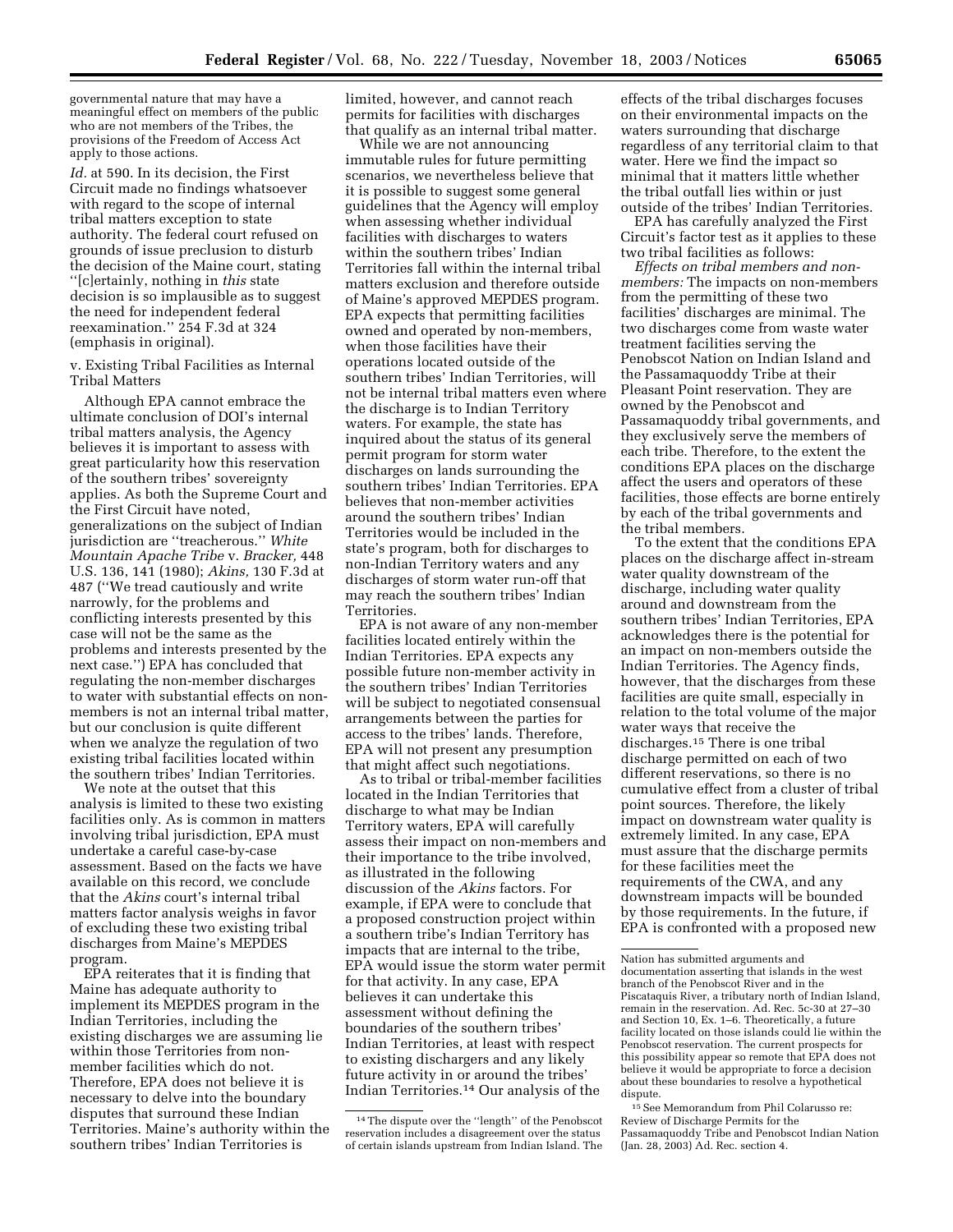governmental nature that may have a meaningful effect on members of the public who are not members of the Tribes, the provisions of the Freedom of Access Act apply to those actions.

*Id.* at 590. In its decision, the First Circuit made no findings whatsoever with regard to the scope of internal tribal matters exception to state authority. The federal court refused on grounds of issue preclusion to disturb the decision of the Maine court, stating ''[c]ertainly, nothing in *this* state decision is so implausible as to suggest the need for independent federal reexamination.'' 254 F.3d at 324 (emphasis in original).

v. Existing Tribal Facilities as Internal Tribal Matters

Although EPA cannot embrace the ultimate conclusion of DOI's internal tribal matters analysis, the Agency believes it is important to assess with great particularity how this reservation of the southern tribes' sovereignty applies. As both the Supreme Court and the First Circuit have noted, generalizations on the subject of Indian jurisdiction are ''treacherous.'' *White Mountain Apache Tribe* v. *Bracker,* 448 U.S. 136, 141 (1980); *Akins,* 130 F.3d at 487 (''We tread cautiously and write narrowly, for the problems and conflicting interests presented by this case will not be the same as the problems and interests presented by the next case.'') EPA has concluded that regulating the non-member discharges to water with substantial effects on nonmembers is not an internal tribal matter, but our conclusion is quite different when we analyze the regulation of two existing tribal facilities located within the southern tribes' Indian Territories.

We note at the outset that this analysis is limited to these two existing facilities only. As is common in matters involving tribal jurisdiction, EPA must undertake a careful case-by-case assessment. Based on the facts we have available on this record, we conclude that the *Akins* court's internal tribal matters factor analysis weighs in favor of excluding these two existing tribal discharges from Maine's MEPDES program.

EPA reiterates that it is finding that Maine has adequate authority to implement its MEPDES program in the Indian Territories, including the existing discharges we are assuming lie within those Territories from nonmember facilities which do not. Therefore, EPA does not believe it is necessary to delve into the boundary disputes that surround these Indian Territories. Maine's authority within the southern tribes' Indian Territories is

limited, however, and cannot reach permits for facilities with discharges that qualify as an internal tribal matter.

While we are not announcing immutable rules for future permitting scenarios, we nevertheless believe that it is possible to suggest some general guidelines that the Agency will employ when assessing whether individual facilities with discharges to waters within the southern tribes' Indian Territories fall within the internal tribal matters exclusion and therefore outside of Maine's approved MEPDES program. EPA expects that permitting facilities owned and operated by non-members, when those facilities have their operations located outside of the southern tribes' Indian Territories, will not be internal tribal matters even where the discharge is to Indian Territory waters. For example, the state has inquired about the status of its general permit program for storm water discharges on lands surrounding the southern tribes' Indian Territories. EPA believes that non-member activities around the southern tribes' Indian Territories would be included in the state's program, both for discharges to non-Indian Territory waters and any discharges of storm water run-off that may reach the southern tribes' Indian Territories.

EPA is not aware of any non-member facilities located entirely within the Indian Territories. EPA expects any possible future non-member activity in the southern tribes' Indian Territories will be subject to negotiated consensual arrangements between the parties for access to the tribes' lands. Therefore, EPA will not present any presumption that might affect such negotiations.

As to tribal or tribal-member facilities located in the Indian Territories that discharge to what may be Indian Territory waters, EPA will carefully assess their impact on non-members and their importance to the tribe involved, as illustrated in the following discussion of the *Akins* factors. For example, if EPA were to conclude that a proposed construction project within a southern tribe's Indian Territory has impacts that are internal to the tribe, EPA would issue the storm water permit for that activity. In any case, EPA believes it can undertake this assessment without defining the boundaries of the southern tribes' Indian Territories, at least with respect to existing dischargers and any likely future activity in or around the tribes' Indian Territories.14 Our analysis of the

effects of the tribal discharges focuses on their environmental impacts on the waters surrounding that discharge regardless of any territorial claim to that water. Here we find the impact so minimal that it matters little whether the tribal outfall lies within or just outside of the tribes' Indian Territories.

EPA has carefully analyzed the First Circuit's factor test as it applies to these two tribal facilities as follows:

*Effects on tribal members and nonmembers:* The impacts on non-members from the permitting of these two facilities' discharges are minimal. The two discharges come from waste water treatment facilities serving the Penobscot Nation on Indian Island and the Passamaquoddy Tribe at their Pleasant Point reservation. They are owned by the Penobscot and Passamaquoddy tribal governments, and they exclusively serve the members of each tribe. Therefore, to the extent the conditions EPA places on the discharge affect the users and operators of these facilities, those effects are borne entirely by each of the tribal governments and the tribal members.

To the extent that the conditions EPA places on the discharge affect in-stream water quality downstream of the discharge, including water quality around and downstream from the southern tribes' Indian Territories, EPA acknowledges there is the potential for an impact on non-members outside the Indian Territories. The Agency finds, however, that the discharges from these facilities are quite small, especially in relation to the total volume of the major water ways that receive the discharges.15 There is one tribal discharge permitted on each of two different reservations, so there is no cumulative effect from a cluster of tribal point sources. Therefore, the likely impact on downstream water quality is extremely limited. In any case, EPA must assure that the discharge permits for these facilities meet the requirements of the CWA, and any downstream impacts will be bounded by those requirements. In the future, if EPA is confronted with a proposed new

15See Memorandum from Phil Colarusso re: Review of Discharge Permits for the Passamaquoddy Tribe and Penobscot Indian Nation (Jan. 28, 2003) Ad. Rec. section 4.

<sup>14</sup>The dispute over the ''length'' of the Penobscot reservation includes a disagreement over the status of certain islands upstream from Indian Island. The

Nation has submitted arguments and documentation asserting that islands in the west branch of the Penobscot River and in the Piscataquis River, a tributary north of Indian Island, remain in the reservation. Ad. Rec. 5c-30 at 27–30 and Section 10, Ex. 1–6. Theoretically, a future facility located on those islands could lie within the Penobscot reservation. The current prospects for this possibility appear so remote that EPA does not believe it would be appropriate to force a decision about these boundaries to resolve a hypothetical dispute.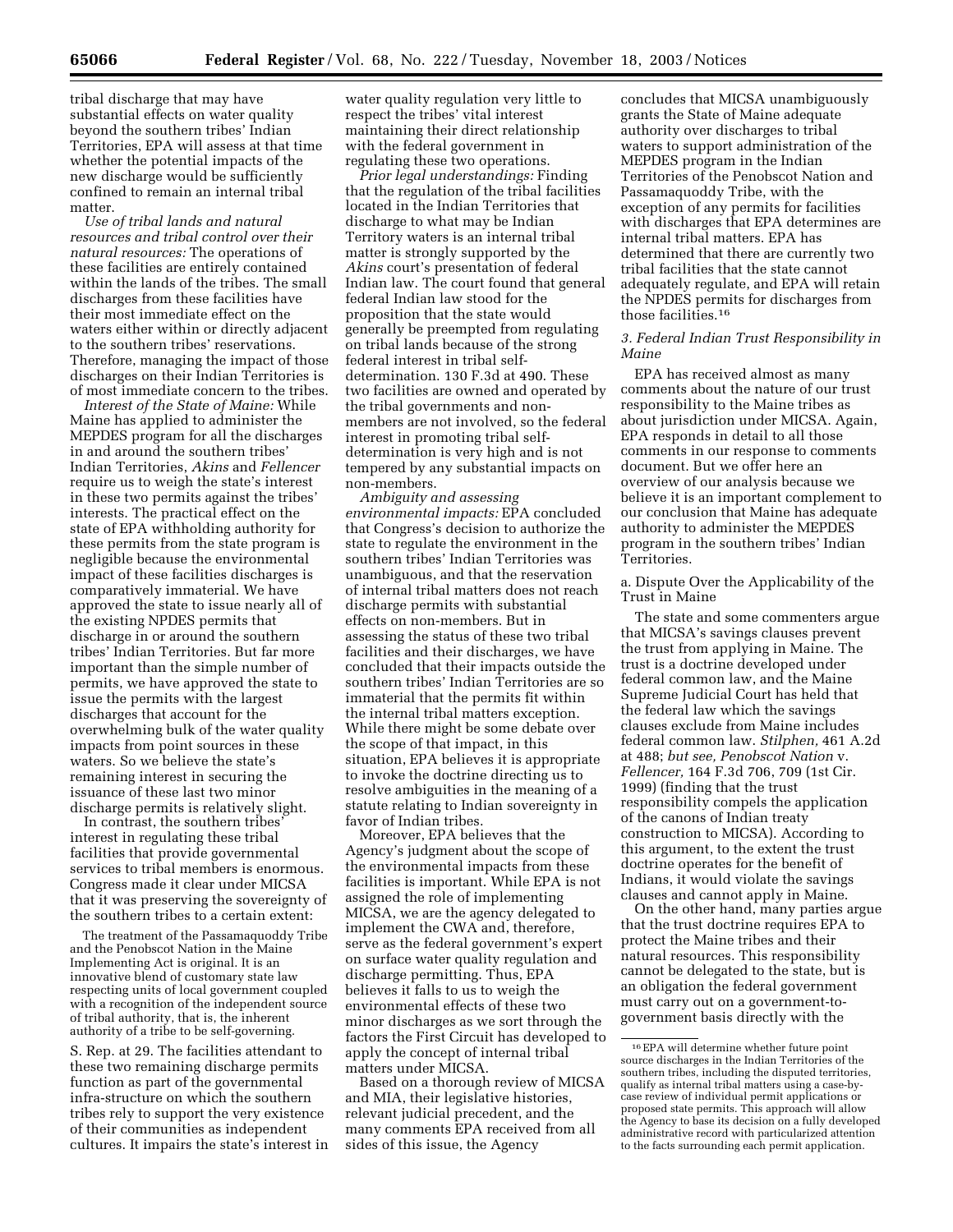tribal discharge that may have substantial effects on water quality beyond the southern tribes' Indian Territories, EPA will assess at that time whether the potential impacts of the new discharge would be sufficiently confined to remain an internal tribal matter.

*Use of tribal lands and natural resources and tribal control over their natural resources:* The operations of these facilities are entirely contained within the lands of the tribes. The small discharges from these facilities have their most immediate effect on the waters either within or directly adjacent to the southern tribes' reservations. Therefore, managing the impact of those discharges on their Indian Territories is of most immediate concern to the tribes.

*Interest of the State of Maine:* While Maine has applied to administer the MEPDES program for all the discharges in and around the southern tribes' Indian Territories, *Akins* and *Fellencer* require us to weigh the state's interest in these two permits against the tribes' interests. The practical effect on the state of EPA withholding authority for these permits from the state program is negligible because the environmental impact of these facilities discharges is comparatively immaterial. We have approved the state to issue nearly all of the existing NPDES permits that discharge in or around the southern tribes' Indian Territories. But far more important than the simple number of permits, we have approved the state to issue the permits with the largest discharges that account for the overwhelming bulk of the water quality impacts from point sources in these waters. So we believe the state's remaining interest in securing the issuance of these last two minor discharge permits is relatively slight.

In contrast, the southern tribes' interest in regulating these tribal facilities that provide governmental services to tribal members is enormous. Congress made it clear under MICSA that it was preserving the sovereignty of the southern tribes to a certain extent:

The treatment of the Passamaquoddy Tribe and the Penobscot Nation in the Maine Implementing Act is original. It is an innovative blend of customary state law respecting units of local government coupled with a recognition of the independent source of tribal authority, that is, the inherent authority of a tribe to be self-governing.

S. Rep. at 29. The facilities attendant to these two remaining discharge permits function as part of the governmental infra-structure on which the southern tribes rely to support the very existence of their communities as independent cultures. It impairs the state's interest in water quality regulation very little to respect the tribes' vital interest maintaining their direct relationship with the federal government in regulating these two operations.

*Prior legal understandings:* Finding that the regulation of the tribal facilities located in the Indian Territories that discharge to what may be Indian Territory waters is an internal tribal matter is strongly supported by the *Akins* court's presentation of federal Indian law. The court found that general federal Indian law stood for the proposition that the state would generally be preempted from regulating on tribal lands because of the strong federal interest in tribal selfdetermination. 130 F.3d at 490. These two facilities are owned and operated by the tribal governments and nonmembers are not involved, so the federal interest in promoting tribal selfdetermination is very high and is not tempered by any substantial impacts on non-members.

*Ambiguity and assessing environmental impacts:* EPA concluded that Congress's decision to authorize the state to regulate the environment in the southern tribes' Indian Territories was unambiguous, and that the reservation of internal tribal matters does not reach discharge permits with substantial effects on non-members. But in assessing the status of these two tribal facilities and their discharges, we have concluded that their impacts outside the southern tribes' Indian Territories are so immaterial that the permits fit within the internal tribal matters exception. While there might be some debate over the scope of that impact, in this situation, EPA believes it is appropriate to invoke the doctrine directing us to resolve ambiguities in the meaning of a statute relating to Indian sovereignty in favor of Indian tribes.

Moreover, EPA believes that the Agency's judgment about the scope of the environmental impacts from these facilities is important. While EPA is not assigned the role of implementing MICSA, we are the agency delegated to implement the CWA and, therefore, serve as the federal government's expert on surface water quality regulation and discharge permitting. Thus, EPA believes it falls to us to weigh the environmental effects of these two minor discharges as we sort through the factors the First Circuit has developed to apply the concept of internal tribal matters under MICSA.

Based on a thorough review of MICSA and MIA, their legislative histories, relevant judicial precedent, and the many comments EPA received from all sides of this issue, the Agency

concludes that MICSA unambiguously grants the State of Maine adequate authority over discharges to tribal waters to support administration of the MEPDES program in the Indian Territories of the Penobscot Nation and Passamaquoddy Tribe, with the exception of any permits for facilities with discharges that EPA determines are internal tribal matters. EPA has determined that there are currently two tribal facilities that the state cannot adequately regulate, and EPA will retain the NPDES permits for discharges from those facilities.16

#### *3. Federal Indian Trust Responsibility in Maine*

EPA has received almost as many comments about the nature of our trust responsibility to the Maine tribes as about jurisdiction under MICSA. Again, EPA responds in detail to all those comments in our response to comments document. But we offer here an overview of our analysis because we believe it is an important complement to our conclusion that Maine has adequate authority to administer the MEPDES program in the southern tribes' Indian Territories.

a. Dispute Over the Applicability of the Trust in Maine

The state and some commenters argue that MICSA's savings clauses prevent the trust from applying in Maine. The trust is a doctrine developed under federal common law, and the Maine Supreme Judicial Court has held that the federal law which the savings clauses exclude from Maine includes federal common law. *Stilphen,* 461 A.2d at 488; *but see, Penobscot Nation* v. *Fellencer,* 164 F.3d 706, 709 (1st Cir. 1999) (finding that the trust responsibility compels the application of the canons of Indian treaty construction to MICSA). According to this argument, to the extent the trust doctrine operates for the benefit of Indians, it would violate the savings clauses and cannot apply in Maine.

On the other hand, many parties argue that the trust doctrine requires EPA to protect the Maine tribes and their natural resources. This responsibility cannot be delegated to the state, but is an obligation the federal government must carry out on a government-togovernment basis directly with the

<sup>16</sup>EPA will determine whether future point source discharges in the Indian Territories of the southern tribes, including the disputed territories, qualify as internal tribal matters using a case-bycase review of individual permit applications or proposed state permits. This approach will allow the Agency to base its decision on a fully developed administrative record with particularized attention to the facts surrounding each permit application.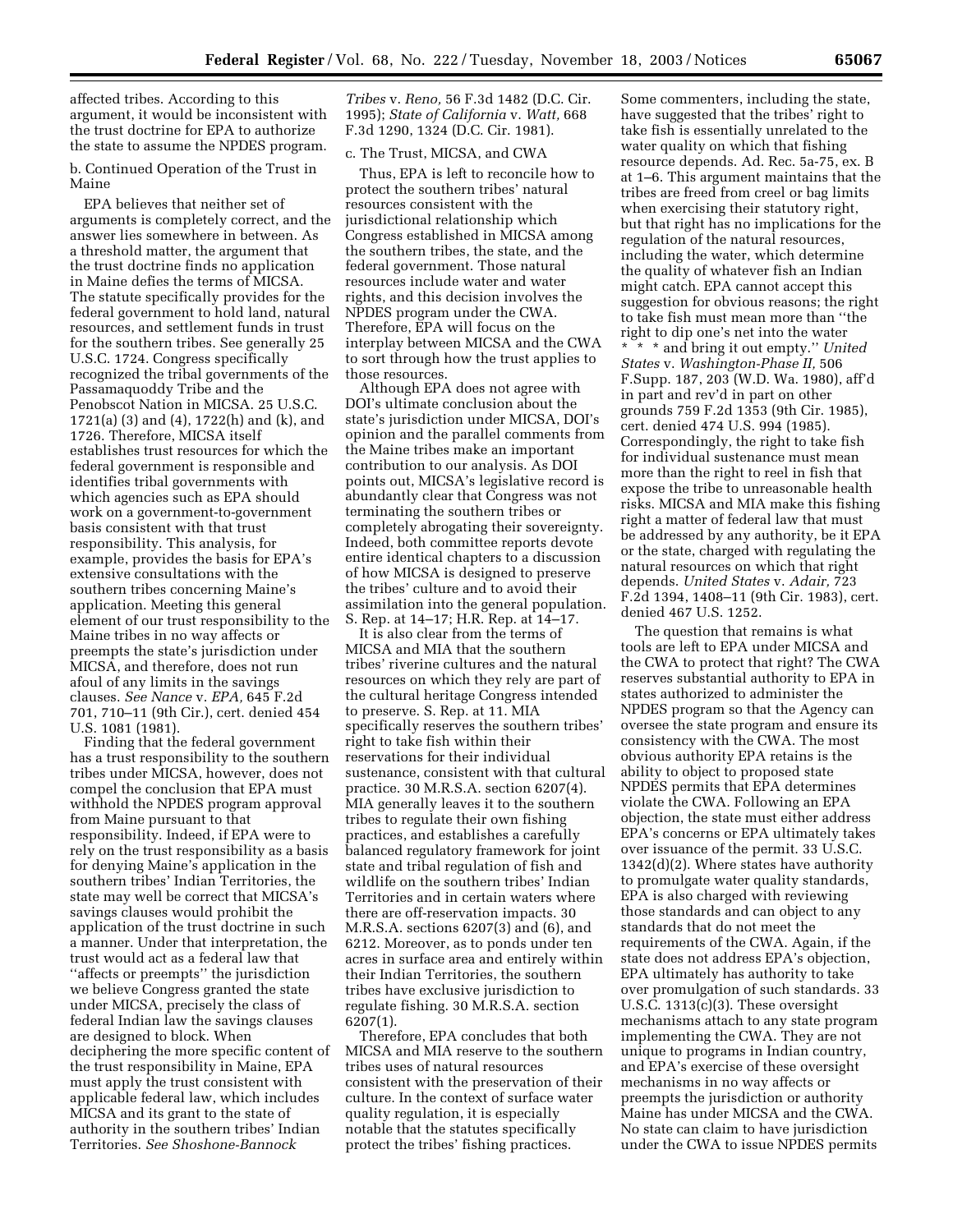affected tribes. According to this argument, it would be inconsistent with the trust doctrine for EPA to authorize the state to assume the NPDES program.

b. Continued Operation of the Trust in Maine

EPA believes that neither set of arguments is completely correct, and the answer lies somewhere in between. As a threshold matter, the argument that the trust doctrine finds no application in Maine defies the terms of MICSA. The statute specifically provides for the federal government to hold land, natural resources, and settlement funds in trust for the southern tribes. See generally 25 U.S.C. 1724. Congress specifically recognized the tribal governments of the Passamaquoddy Tribe and the Penobscot Nation in MICSA. 25 U.S.C. 1721(a) (3) and (4), 1722(h) and (k), and 1726. Therefore, MICSA itself establishes trust resources for which the federal government is responsible and identifies tribal governments with which agencies such as EPA should work on a government-to-government basis consistent with that trust responsibility. This analysis, for example, provides the basis for EPA's extensive consultations with the southern tribes concerning Maine's application. Meeting this general element of our trust responsibility to the Maine tribes in no way affects or preempts the state's jurisdiction under MICSA, and therefore, does not run afoul of any limits in the savings clauses. *See Nance* v. *EPA,* 645 F.2d 701, 710–11 (9th Cir.), cert. denied 454 U.S. 1081 (1981).

Finding that the federal government has a trust responsibility to the southern tribes under MICSA, however, does not compel the conclusion that EPA must withhold the NPDES program approval from Maine pursuant to that responsibility. Indeed, if EPA were to rely on the trust responsibility as a basis for denying Maine's application in the southern tribes' Indian Territories, the state may well be correct that MICSA's savings clauses would prohibit the application of the trust doctrine in such a manner. Under that interpretation, the trust would act as a federal law that ''affects or preempts'' the jurisdiction we believe Congress granted the state under MICSA, precisely the class of federal Indian law the savings clauses are designed to block. When deciphering the more specific content of the trust responsibility in Maine, EPA must apply the trust consistent with applicable federal law, which includes MICSA and its grant to the state of authority in the southern tribes' Indian Territories. *See Shoshone-Bannock* 

*Tribes* v. *Reno,* 56 F.3d 1482 (D.C. Cir. 1995); *State of California* v. *Watt,* 668 F.3d 1290, 1324 (D.C. Cir. 1981).

## c. The Trust, MICSA, and CWA

Thus, EPA is left to reconcile how to protect the southern tribes' natural resources consistent with the jurisdictional relationship which Congress established in MICSA among the southern tribes, the state, and the federal government. Those natural resources include water and water rights, and this decision involves the NPDES program under the CWA. Therefore, EPA will focus on the interplay between MICSA and the CWA to sort through how the trust applies to those resources.

Although EPA does not agree with DOI's ultimate conclusion about the state's jurisdiction under MICSA, DOI's opinion and the parallel comments from the Maine tribes make an important contribution to our analysis. As DOI points out, MICSA's legislative record is abundantly clear that Congress was not terminating the southern tribes or completely abrogating their sovereignty. Indeed, both committee reports devote entire identical chapters to a discussion of how MICSA is designed to preserve the tribes' culture and to avoid their assimilation into the general population. S. Rep. at 14–17; H.R. Rep. at 14–17.

It is also clear from the terms of MICSA and MIA that the southern tribes' riverine cultures and the natural resources on which they rely are part of the cultural heritage Congress intended to preserve. S. Rep. at 11. MIA specifically reserves the southern tribes' right to take fish within their reservations for their individual sustenance, consistent with that cultural practice. 30 M.R.S.A. section 6207(4). MIA generally leaves it to the southern tribes to regulate their own fishing practices, and establishes a carefully balanced regulatory framework for joint state and tribal regulation of fish and wildlife on the southern tribes' Indian Territories and in certain waters where there are off-reservation impacts. 30 M.R.S.A. sections 6207(3) and (6), and 6212. Moreover, as to ponds under ten acres in surface area and entirely within their Indian Territories, the southern tribes have exclusive jurisdiction to regulate fishing. 30 M.R.S.A. section 6207(1).

Therefore, EPA concludes that both MICSA and MIA reserve to the southern tribes uses of natural resources consistent with the preservation of their culture. In the context of surface water quality regulation, it is especially notable that the statutes specifically protect the tribes' fishing practices.

Some commenters, including the state, have suggested that the tribes' right to take fish is essentially unrelated to the water quality on which that fishing resource depends. Ad. Rec. 5a-75, ex. B at 1–6. This argument maintains that the tribes are freed from creel or bag limits when exercising their statutory right, but that right has no implications for the regulation of the natural resources, including the water, which determine the quality of whatever fish an Indian might catch. EPA cannot accept this suggestion for obvious reasons; the right to take fish must mean more than ''the right to dip one's net into the water \* \* \* and bring it out empty.'' *United States* v. *Washington-Phase II,* 506 F.Supp. 187, 203 (W.D. Wa. 1980), aff'd in part and rev'd in part on other grounds 759 F.2d 1353 (9th Cir. 1985), cert. denied 474 U.S. 994 (1985). Correspondingly, the right to take fish for individual sustenance must mean more than the right to reel in fish that expose the tribe to unreasonable health risks. MICSA and MIA make this fishing right a matter of federal law that must be addressed by any authority, be it EPA or the state, charged with regulating the natural resources on which that right depends. *United States* v. *Adair,* 723 F.2d 1394, 1408–11 (9th Cir. 1983), cert. denied 467 U.S. 1252.

The question that remains is what tools are left to EPA under MICSA and the CWA to protect that right? The CWA reserves substantial authority to EPA in states authorized to administer the NPDES program so that the Agency can oversee the state program and ensure its consistency with the CWA. The most obvious authority EPA retains is the ability to object to proposed state NPDES permits that EPA determines violate the CWA. Following an EPA objection, the state must either address EPA's concerns or EPA ultimately takes over issuance of the permit. 33 U.S.C. 1342(d)(2). Where states have authority to promulgate water quality standards, EPA is also charged with reviewing those standards and can object to any standards that do not meet the requirements of the CWA. Again, if the state does not address EPA's objection, EPA ultimately has authority to take over promulgation of such standards. 33 U.S.C. 1313(c)(3). These oversight mechanisms attach to any state program implementing the CWA. They are not unique to programs in Indian country, and EPA's exercise of these oversight mechanisms in no way affects or preempts the jurisdiction or authority Maine has under MICSA and the CWA. No state can claim to have jurisdiction under the CWA to issue NPDES permits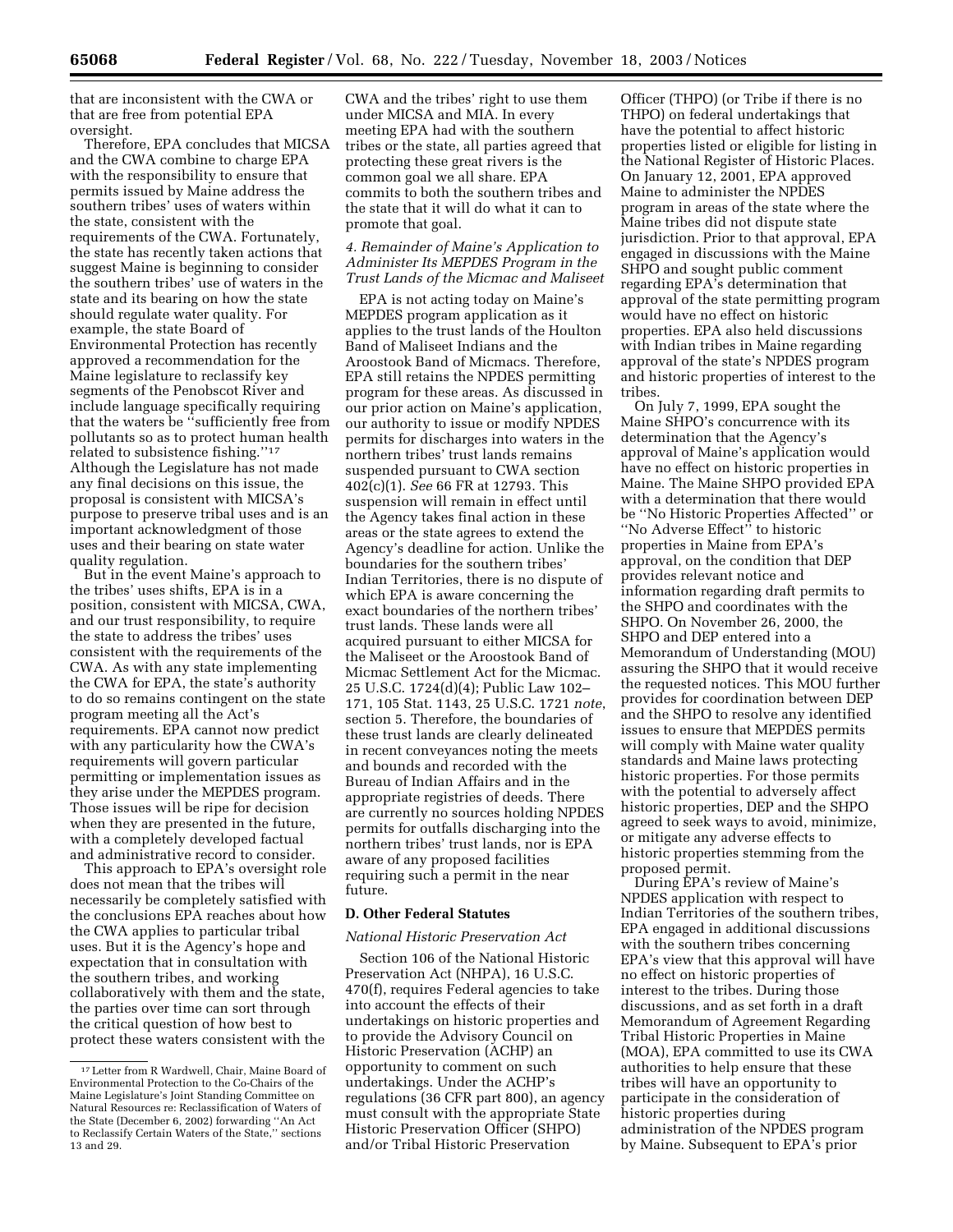that are inconsistent with the CWA or that are free from potential EPA oversight.

Therefore, EPA concludes that MICSA and the CWA combine to charge EPA with the responsibility to ensure that permits issued by Maine address the southern tribes' uses of waters within the state, consistent with the requirements of the CWA. Fortunately, the state has recently taken actions that suggest Maine is beginning to consider the southern tribes' use of waters in the state and its bearing on how the state should regulate water quality. For example, the state Board of Environmental Protection has recently approved a recommendation for the Maine legislature to reclassify key segments of the Penobscot River and include language specifically requiring that the waters be ''sufficiently free from pollutants so as to protect human health related to subsistence fishing.''17 Although the Legislature has not made any final decisions on this issue, the proposal is consistent with MICSA's purpose to preserve tribal uses and is an important acknowledgment of those uses and their bearing on state water quality regulation.

But in the event Maine's approach to the tribes' uses shifts, EPA is in a position, consistent with MICSA, CWA, and our trust responsibility, to require the state to address the tribes' uses consistent with the requirements of the CWA. As with any state implementing the CWA for EPA, the state's authority to do so remains contingent on the state program meeting all the Act's requirements. EPA cannot now predict with any particularity how the CWA's requirements will govern particular permitting or implementation issues as they arise under the MEPDES program. Those issues will be ripe for decision when they are presented in the future, with a completely developed factual and administrative record to consider.

This approach to EPA's oversight role does not mean that the tribes will necessarily be completely satisfied with the conclusions EPA reaches about how the CWA applies to particular tribal uses. But it is the Agency's hope and expectation that in consultation with the southern tribes, and working collaboratively with them and the state, the parties over time can sort through the critical question of how best to protect these waters consistent with the

CWA and the tribes' right to use them under MICSA and MIA. In every meeting EPA had with the southern tribes or the state, all parties agreed that protecting these great rivers is the common goal we all share. EPA commits to both the southern tribes and the state that it will do what it can to promote that goal.

## *4. Remainder of Maine's Application to Administer Its MEPDES Program in the Trust Lands of the Micmac and Maliseet*

EPA is not acting today on Maine's MEPDES program application as it applies to the trust lands of the Houlton Band of Maliseet Indians and the Aroostook Band of Micmacs. Therefore, EPA still retains the NPDES permitting program for these areas. As discussed in our prior action on Maine's application, our authority to issue or modify NPDES permits for discharges into waters in the northern tribes' trust lands remains suspended pursuant to CWA section 402(c)(1). *See* 66 FR at 12793. This suspension will remain in effect until the Agency takes final action in these areas or the state agrees to extend the Agency's deadline for action. Unlike the boundaries for the southern tribes' Indian Territories, there is no dispute of which EPA is aware concerning the exact boundaries of the northern tribes' trust lands. These lands were all acquired pursuant to either MICSA for the Maliseet or the Aroostook Band of Micmac Settlement Act for the Micmac. 25 U.S.C. 1724(d)(4); Public Law 102– 171, 105 Stat. 1143, 25 U.S.C. 1721 *note*, section 5. Therefore, the boundaries of these trust lands are clearly delineated in recent conveyances noting the meets and bounds and recorded with the Bureau of Indian Affairs and in the appropriate registries of deeds. There are currently no sources holding NPDES permits for outfalls discharging into the northern tribes' trust lands, nor is EPA aware of any proposed facilities requiring such a permit in the near future.

# **D. Other Federal Statutes**

#### *National Historic Preservation Act*

Section 106 of the National Historic Preservation Act (NHPA), 16 U.S.C. 470(f), requires Federal agencies to take into account the effects of their undertakings on historic properties and to provide the Advisory Council on Historic Preservation (ACHP) an opportunity to comment on such undertakings. Under the ACHP's regulations (36 CFR part 800), an agency must consult with the appropriate State Historic Preservation Officer (SHPO) and/or Tribal Historic Preservation

Officer (THPO) (or Tribe if there is no THPO) on federal undertakings that have the potential to affect historic properties listed or eligible for listing in the National Register of Historic Places. On January 12, 2001, EPA approved Maine to administer the NPDES program in areas of the state where the Maine tribes did not dispute state jurisdiction. Prior to that approval, EPA engaged in discussions with the Maine SHPO and sought public comment regarding EPA's determination that approval of the state permitting program would have no effect on historic properties. EPA also held discussions with Indian tribes in Maine regarding approval of the state's NPDES program and historic properties of interest to the tribes.

On July 7, 1999, EPA sought the Maine SHPO's concurrence with its determination that the Agency's approval of Maine's application would have no effect on historic properties in Maine. The Maine SHPO provided EPA with a determination that there would be ''No Historic Properties Affected'' or ''No Adverse Effect'' to historic properties in Maine from EPA's approval, on the condition that DEP provides relevant notice and information regarding draft permits to the SHPO and coordinates with the SHPO. On November 26, 2000, the SHPO and DEP entered into a Memorandum of Understanding (MOU) assuring the SHPO that it would receive the requested notices. This MOU further provides for coordination between DEP and the SHPO to resolve any identified issues to ensure that MEPDES permits will comply with Maine water quality standards and Maine laws protecting historic properties. For those permits with the potential to adversely affect historic properties, DEP and the SHPO agreed to seek ways to avoid, minimize, or mitigate any adverse effects to historic properties stemming from the proposed permit.

During EPA's review of Maine's NPDES application with respect to Indian Territories of the southern tribes, EPA engaged in additional discussions with the southern tribes concerning EPA's view that this approval will have no effect on historic properties of interest to the tribes. During those discussions, and as set forth in a draft Memorandum of Agreement Regarding Tribal Historic Properties in Maine (MOA), EPA committed to use its CWA authorities to help ensure that these tribes will have an opportunity to participate in the consideration of historic properties during administration of the NPDES program by Maine. Subsequent to EPA's prior

<sup>17</sup>Letter from R Wardwell, Chair, Maine Board of Environmental Protection to the Co-Chairs of the Maine Legislature's Joint Standing Committee on Natural Resources re: Reclassification of Waters of the State (December 6, 2002) forwarding ''An Act to Reclassify Certain Waters of the State,'' sections 13 and 29.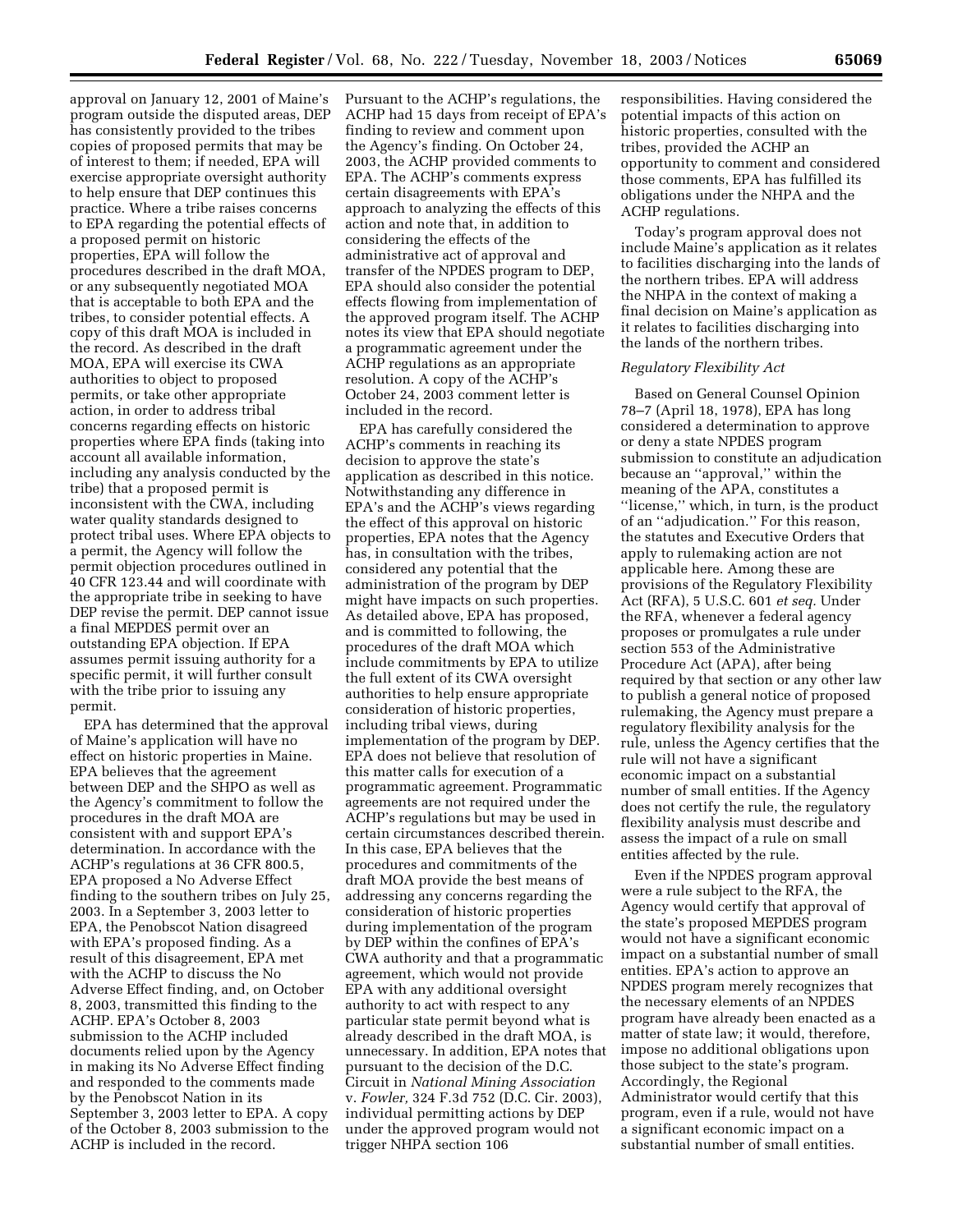approval on January 12, 2001 of Maine's program outside the disputed areas, DEP has consistently provided to the tribes copies of proposed permits that may be of interest to them; if needed, EPA will exercise appropriate oversight authority to help ensure that DEP continues this practice. Where a tribe raises concerns to EPA regarding the potential effects of a proposed permit on historic properties, EPA will follow the procedures described in the draft MOA, or any subsequently negotiated MOA that is acceptable to both EPA and the tribes, to consider potential effects. A copy of this draft MOA is included in the record. As described in the draft MOA, EPA will exercise its CWA authorities to object to proposed permits, or take other appropriate action, in order to address tribal concerns regarding effects on historic properties where EPA finds (taking into account all available information, including any analysis conducted by the tribe) that a proposed permit is inconsistent with the CWA, including water quality standards designed to protect tribal uses. Where EPA objects to a permit, the Agency will follow the permit objection procedures outlined in 40 CFR 123.44 and will coordinate with the appropriate tribe in seeking to have DEP revise the permit. DEP cannot issue a final MEPDES permit over an outstanding EPA objection. If EPA assumes permit issuing authority for a specific permit, it will further consult with the tribe prior to issuing any permit.

EPA has determined that the approval of Maine's application will have no effect on historic properties in Maine. EPA believes that the agreement between DEP and the SHPO as well as the Agency's commitment to follow the procedures in the draft MOA are consistent with and support EPA's determination. In accordance with the ACHP's regulations at 36 CFR 800.5, EPA proposed a No Adverse Effect finding to the southern tribes on July 25, 2003. In a September 3, 2003 letter to EPA, the Penobscot Nation disagreed with EPA's proposed finding. As a result of this disagreement, EPA met with the ACHP to discuss the No Adverse Effect finding, and, on October 8, 2003, transmitted this finding to the ACHP. EPA's October 8, 2003 submission to the ACHP included documents relied upon by the Agency in making its No Adverse Effect finding and responded to the comments made by the Penobscot Nation in its September 3, 2003 letter to EPA. A copy of the October 8, 2003 submission to the ACHP is included in the record.

Pursuant to the ACHP's regulations, the ACHP had 15 days from receipt of EPA's finding to review and comment upon the Agency's finding. On October 24, 2003, the ACHP provided comments to EPA. The ACHP's comments express certain disagreements with EPA's approach to analyzing the effects of this action and note that, in addition to considering the effects of the administrative act of approval and transfer of the NPDES program to DEP, EPA should also consider the potential effects flowing from implementation of the approved program itself. The ACHP notes its view that EPA should negotiate a programmatic agreement under the ACHP regulations as an appropriate resolution. A copy of the ACHP's October 24, 2003 comment letter is included in the record.

EPA has carefully considered the ACHP's comments in reaching its decision to approve the state's application as described in this notice. Notwithstanding any difference in EPA's and the ACHP's views regarding the effect of this approval on historic properties, EPA notes that the Agency has, in consultation with the tribes, considered any potential that the administration of the program by DEP might have impacts on such properties. As detailed above, EPA has proposed, and is committed to following, the procedures of the draft MOA which include commitments by EPA to utilize the full extent of its CWA oversight authorities to help ensure appropriate consideration of historic properties, including tribal views, during implementation of the program by DEP. EPA does not believe that resolution of this matter calls for execution of a programmatic agreement. Programmatic agreements are not required under the ACHP's regulations but may be used in certain circumstances described therein. In this case, EPA believes that the procedures and commitments of the draft MOA provide the best means of addressing any concerns regarding the consideration of historic properties during implementation of the program by DEP within the confines of EPA's CWA authority and that a programmatic agreement, which would not provide EPA with any additional oversight authority to act with respect to any particular state permit beyond what is already described in the draft MOA, is unnecessary. In addition, EPA notes that pursuant to the decision of the D.C. Circuit in *National Mining Association* v. *Fowler,* 324 F.3d 752 (D.C. Cir. 2003), individual permitting actions by DEP under the approved program would not trigger NHPA section 106

responsibilities. Having considered the potential impacts of this action on historic properties, consulted with the tribes, provided the ACHP an opportunity to comment and considered those comments, EPA has fulfilled its obligations under the NHPA and the ACHP regulations.

Today's program approval does not include Maine's application as it relates to facilities discharging into the lands of the northern tribes. EPA will address the NHPA in the context of making a final decision on Maine's application as it relates to facilities discharging into the lands of the northern tribes.

### *Regulatory Flexibility Act*

Based on General Counsel Opinion 78–7 (April 18, 1978), EPA has long considered a determination to approve or deny a state NPDES program submission to constitute an adjudication because an ''approval,'' within the meaning of the APA, constitutes a ''license,'' which, in turn, is the product of an ''adjudication.'' For this reason, the statutes and Executive Orders that apply to rulemaking action are not applicable here. Among these are provisions of the Regulatory Flexibility Act (RFA), 5 U.S.C. 601 *et seq.* Under the RFA, whenever a federal agency proposes or promulgates a rule under section 553 of the Administrative Procedure Act (APA), after being required by that section or any other law to publish a general notice of proposed rulemaking, the Agency must prepare a regulatory flexibility analysis for the rule, unless the Agency certifies that the rule will not have a significant economic impact on a substantial number of small entities. If the Agency does not certify the rule, the regulatory flexibility analysis must describe and assess the impact of a rule on small entities affected by the rule.

Even if the NPDES program approval were a rule subject to the RFA, the Agency would certify that approval of the state's proposed MEPDES program would not have a significant economic impact on a substantial number of small entities. EPA's action to approve an NPDES program merely recognizes that the necessary elements of an NPDES program have already been enacted as a matter of state law; it would, therefore, impose no additional obligations upon those subject to the state's program. Accordingly, the Regional Administrator would certify that this program, even if a rule, would not have a significant economic impact on a substantial number of small entities.